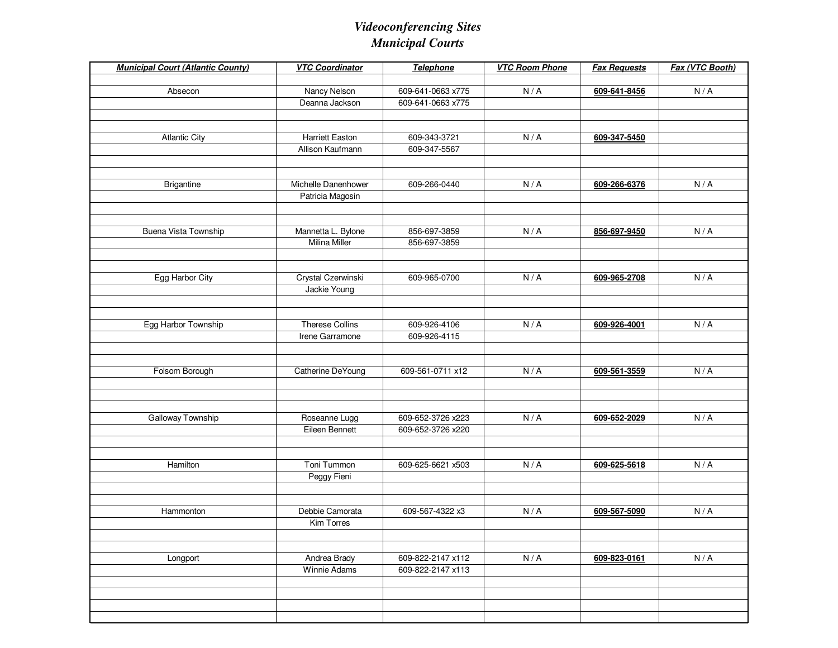| <b>Municipal Court (Atlantic County)</b> | <b>VTC Coordinator</b>         | Telephone                              | <b>VTC Room Phone</b> | <b>Fax Requests</b> | Fax (VTC Booth) |
|------------------------------------------|--------------------------------|----------------------------------------|-----------------------|---------------------|-----------------|
|                                          |                                |                                        |                       |                     |                 |
| Absecon                                  | Nancy Nelson<br>Deanna Jackson | 609-641-0663 x775<br>609-641-0663 x775 | N/A                   | 609-641-8456        | N/A             |
|                                          |                                |                                        |                       |                     |                 |
|                                          |                                |                                        |                       |                     |                 |
| <b>Atlantic City</b>                     | <b>Harriett Easton</b>         | 609-343-3721                           | N/A                   | 609-347-5450        |                 |
|                                          | Allison Kaufmann               | 609-347-5567                           |                       |                     |                 |
|                                          |                                |                                        |                       |                     |                 |
|                                          |                                |                                        |                       |                     |                 |
| <b>Brigantine</b>                        | Michelle Danenhower            | 609-266-0440                           | N/A                   | 609-266-6376        | N/A             |
|                                          | Patricia Magosin               |                                        |                       |                     |                 |
|                                          |                                |                                        |                       |                     |                 |
|                                          |                                |                                        |                       |                     |                 |
| Buena Vista Township                     | Mannetta L. Bylone             | 856-697-3859                           | N/A                   | 856-697-9450        | N/A             |
|                                          | <b>Milina Miller</b>           | 856-697-3859                           |                       |                     |                 |
|                                          |                                |                                        |                       |                     |                 |
| Egg Harbor City                          | Crystal Czerwinski             | 609-965-0700                           | N/A                   | 609-965-2708        | N/A             |
|                                          | Jackie Young                   |                                        |                       |                     |                 |
|                                          |                                |                                        |                       |                     |                 |
|                                          |                                |                                        |                       |                     |                 |
| Egg Harbor Township                      | <b>Therese Collins</b>         | 609-926-4106                           | N/A                   | 609-926-4001        | N/A             |
|                                          | Irene Garramone                | 609-926-4115                           |                       |                     |                 |
|                                          |                                |                                        |                       |                     |                 |
|                                          |                                |                                        |                       |                     |                 |
| Folsom Borough                           | Catherine DeYoung              | 609-561-0711 x12                       | N/A                   | 609-561-3559        | N/A             |
|                                          |                                |                                        |                       |                     |                 |
|                                          |                                |                                        |                       |                     |                 |
| Galloway Township                        | Roseanne Lugg                  | 609-652-3726 x223                      | N/A                   | 609-652-2029        | N/A             |
|                                          | Eileen Bennett                 | 609-652-3726 x220                      |                       |                     |                 |
|                                          |                                |                                        |                       |                     |                 |
|                                          |                                |                                        |                       |                     |                 |
| Hamilton                                 | Toni Tummon                    | 609-625-6621 x503                      | N/A                   | 609-625-5618        | N/A             |
|                                          | Peggy Fieni                    |                                        |                       |                     |                 |
|                                          |                                |                                        |                       |                     |                 |
|                                          |                                |                                        |                       |                     |                 |
| Hammonton                                | Debbie Camorata                | 609-567-4322 x3                        | N/A                   | 609-567-5090        | N/A             |
|                                          | Kim Torres                     |                                        |                       |                     |                 |
|                                          |                                |                                        |                       |                     |                 |
|                                          | Andrea Brady                   |                                        | N/A                   |                     | N/A             |
| Longport                                 | Winnie Adams                   | 609-822-2147 x112<br>609-822-2147 x113 |                       | 609-823-0161        |                 |
|                                          |                                |                                        |                       |                     |                 |
|                                          |                                |                                        |                       |                     |                 |
|                                          |                                |                                        |                       |                     |                 |
|                                          |                                |                                        |                       |                     |                 |
|                                          |                                |                                        |                       |                     |                 |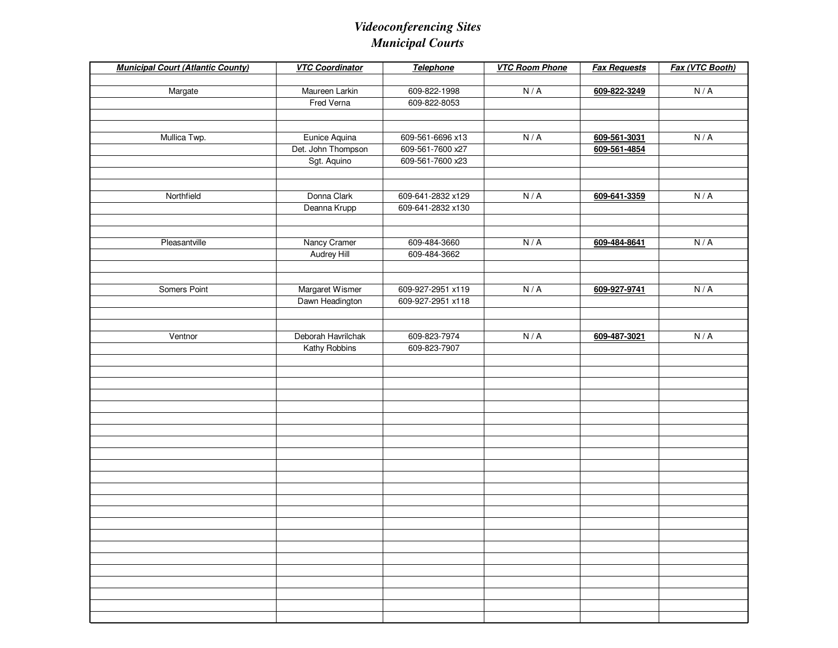| <b>Municipal Court (Atlantic County)</b> | <b>VTC Coordinator</b>              | <b>Telephone</b>  | <b>VTC Room Phone</b> | <b>Fax Requests</b>          | Fax (VTC Booth) |
|------------------------------------------|-------------------------------------|-------------------|-----------------------|------------------------------|-----------------|
|                                          |                                     |                   |                       |                              |                 |
| Margate                                  | Maureen Larkin                      | 609-822-1998      | N/A                   | 609-822-3249                 | N/A             |
|                                          | Fred Verna                          | 609-822-8053      |                       |                              |                 |
|                                          |                                     |                   |                       |                              |                 |
|                                          |                                     | 609-561-6696 x13  | N/A                   |                              | N/A             |
| Mullica Twp.                             | Eunice Aquina<br>Det. John Thompson | 609-561-7600 x27  |                       | 609-561-3031<br>609-561-4854 |                 |
|                                          | Sgt. Aquino                         | 609-561-7600 x23  |                       |                              |                 |
|                                          |                                     |                   |                       |                              |                 |
|                                          |                                     |                   |                       |                              |                 |
| Northfield                               | Donna Clark                         | 609-641-2832 x129 | N/A                   | 609-641-3359                 | N/A             |
|                                          | Deanna Krupp                        | 609-641-2832 x130 |                       |                              |                 |
|                                          |                                     |                   |                       |                              |                 |
|                                          |                                     |                   |                       |                              |                 |
| Pleasantville                            | Nancy Cramer                        | 609-484-3660      | N/A                   | 609-484-8641                 | N/A             |
|                                          | Audrey Hill                         | 609-484-3662      |                       |                              |                 |
|                                          |                                     |                   |                       |                              |                 |
|                                          |                                     |                   |                       |                              |                 |
| Somers Point                             | Margaret Wismer                     | 609-927-2951 x119 | N/A                   | 609-927-9741                 | N/A             |
|                                          | Dawn Headington                     | 609-927-2951 x118 |                       |                              |                 |
|                                          |                                     |                   |                       |                              |                 |
| Ventnor                                  | Deborah Havrilchak                  | 609-823-7974      | N/A                   |                              | N/A             |
|                                          | Kathy Robbins                       | 609-823-7907      |                       | 609-487-3021                 |                 |
|                                          |                                     |                   |                       |                              |                 |
|                                          |                                     |                   |                       |                              |                 |
|                                          |                                     |                   |                       |                              |                 |
|                                          |                                     |                   |                       |                              |                 |
|                                          |                                     |                   |                       |                              |                 |
|                                          |                                     |                   |                       |                              |                 |
|                                          |                                     |                   |                       |                              |                 |
|                                          |                                     |                   |                       |                              |                 |
|                                          |                                     |                   |                       |                              |                 |
|                                          |                                     |                   |                       |                              |                 |
|                                          |                                     |                   |                       |                              |                 |
|                                          |                                     |                   |                       |                              |                 |
|                                          |                                     |                   |                       |                              |                 |
|                                          |                                     |                   |                       |                              |                 |
|                                          |                                     |                   |                       |                              |                 |
|                                          |                                     |                   |                       |                              |                 |
|                                          |                                     |                   |                       |                              |                 |
|                                          |                                     |                   |                       |                              |                 |
|                                          |                                     |                   |                       |                              |                 |
|                                          |                                     |                   |                       |                              |                 |
|                                          |                                     |                   |                       |                              |                 |
|                                          |                                     |                   |                       |                              |                 |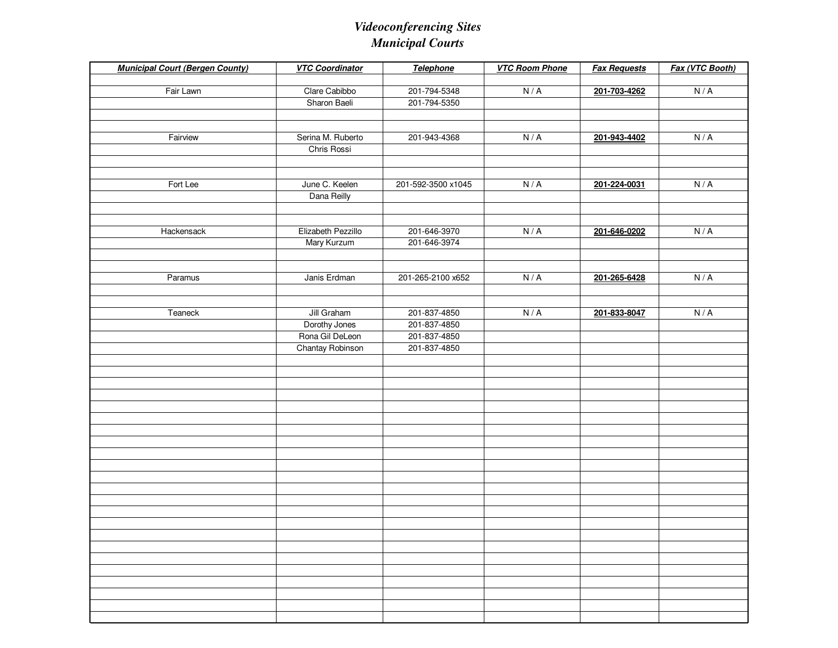| <b>Municipal Court (Bergen County)</b> | <b>VTC Coordinator</b> | Telephone          | <b>VTC Room Phone</b> | <b>Fax Requests</b> | Fax (VTC Booth) |
|----------------------------------------|------------------------|--------------------|-----------------------|---------------------|-----------------|
| Fair Lawn                              | Clare Cabibbo          | 201-794-5348       | N/A                   | 201-703-4262        | N/A             |
|                                        | Sharon Baeli           | 201-794-5350       |                       |                     |                 |
|                                        |                        |                    |                       |                     |                 |
|                                        |                        |                    |                       |                     |                 |
| Fairview                               | Serina M. Ruberto      | 201-943-4368       | N/A                   | 201-943-4402        | N/A             |
|                                        | Chris Rossi            |                    |                       |                     |                 |
|                                        |                        |                    |                       |                     |                 |
|                                        |                        |                    |                       |                     |                 |
| Fort Lee                               | June C. Keelen         | 201-592-3500 x1045 | N/A                   | 201-224-0031        | N/A             |
|                                        | Dana Reilly            |                    |                       |                     |                 |
|                                        |                        |                    |                       |                     |                 |
|                                        |                        |                    |                       |                     |                 |
| Hackensack                             | Elizabeth Pezzillo     | 201-646-3970       | N/A                   | 201-646-0202        | N/A             |
|                                        | Mary Kurzum            | 201-646-3974       |                       |                     |                 |
|                                        |                        |                    |                       |                     |                 |
|                                        |                        |                    |                       |                     |                 |
| Paramus                                | Janis Erdman           | 201-265-2100 x652  | N/A                   | 201-265-6428        | N/A             |
|                                        |                        |                    |                       |                     |                 |
| Teaneck                                | Jill Graham            | 201-837-4850       | N/A                   | 201-833-8047        | N/A             |
|                                        | Dorothy Jones          | 201-837-4850       |                       |                     |                 |
|                                        | Rona Gil DeLeon        | 201-837-4850       |                       |                     |                 |
|                                        | Chantay Robinson       | 201-837-4850       |                       |                     |                 |
|                                        |                        |                    |                       |                     |                 |
|                                        |                        |                    |                       |                     |                 |
|                                        |                        |                    |                       |                     |                 |
|                                        |                        |                    |                       |                     |                 |
|                                        |                        |                    |                       |                     |                 |
|                                        |                        |                    |                       |                     |                 |
|                                        |                        |                    |                       |                     |                 |
|                                        |                        |                    |                       |                     |                 |
|                                        |                        |                    |                       |                     |                 |
|                                        |                        |                    |                       |                     |                 |
|                                        |                        |                    |                       |                     |                 |
|                                        |                        |                    |                       |                     |                 |
|                                        |                        |                    |                       |                     |                 |
|                                        |                        |                    |                       |                     |                 |
|                                        |                        |                    |                       |                     |                 |
|                                        |                        |                    |                       |                     |                 |
|                                        |                        |                    |                       |                     |                 |
|                                        |                        |                    |                       |                     |                 |
|                                        |                        |                    |                       |                     |                 |
|                                        |                        |                    |                       |                     |                 |
|                                        |                        |                    |                       |                     |                 |
|                                        |                        |                    |                       |                     |                 |
|                                        |                        |                    |                       |                     |                 |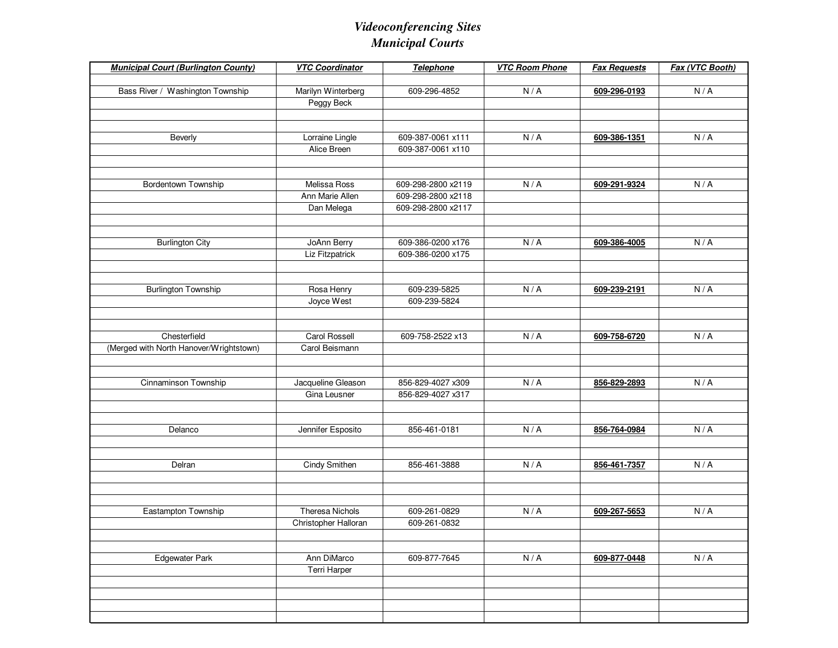| <b>Municipal Court (Burlington County)</b>              | <b>VTC Coordinator</b>      | Telephone          | <b>VTC Room Phone</b> | <b>Fax Requests</b> | Fax (VTC Booth) |
|---------------------------------------------------------|-----------------------------|--------------------|-----------------------|---------------------|-----------------|
|                                                         |                             |                    |                       |                     |                 |
| Bass River / Washington Township                        | Marilyn Winterberg          | 609-296-4852       | N/A                   | 609-296-0193        | N/A             |
|                                                         | Peggy Beck                  |                    |                       |                     |                 |
|                                                         |                             |                    |                       |                     |                 |
| Beverly                                                 | Lorraine Lingle             | 609-387-0061 x111  | N/A                   | 609-386-1351        | N/A             |
|                                                         | Alice Breen                 | 609-387-0061 x110  |                       |                     |                 |
|                                                         |                             |                    |                       |                     |                 |
|                                                         |                             |                    |                       |                     |                 |
| Bordentown Township                                     | Melissa Ross                | 609-298-2800 x2119 | N/A                   | 609-291-9324        | N/A             |
|                                                         | Ann Marie Allen             | 609-298-2800 x2118 |                       |                     |                 |
|                                                         | Dan Melega                  | 609-298-2800 x2117 |                       |                     |                 |
|                                                         |                             |                    |                       |                     |                 |
| <b>Burlington City</b>                                  | JoAnn Berry                 | 609-386-0200 x176  | N/A                   | 609-386-4005        | N/A             |
|                                                         | Liz Fitzpatrick             | 609-386-0200 x175  |                       |                     |                 |
|                                                         |                             |                    |                       |                     |                 |
|                                                         |                             |                    |                       |                     |                 |
| <b>Burlington Township</b>                              | Rosa Henry                  | 609-239-5825       | N/A                   | 609-239-2191        | N/A             |
|                                                         | Joyce West                  | 609-239-5824       |                       |                     |                 |
|                                                         |                             |                    |                       |                     |                 |
|                                                         | <b>Carol Rossell</b>        |                    |                       |                     |                 |
| Chesterfield<br>(Merged with North Hanover/Wrightstown) | Carol Beismann              | 609-758-2522 x13   | N/A                   | 609-758-6720        | N/A             |
|                                                         |                             |                    |                       |                     |                 |
|                                                         |                             |                    |                       |                     |                 |
| Cinnaminson Township                                    | Jacqueline Gleason          | 856-829-4027 x309  | N/A                   | 856-829-2893        | N/A             |
|                                                         | Gina Leusner                | 856-829-4027 x317  |                       |                     |                 |
|                                                         |                             |                    |                       |                     |                 |
|                                                         |                             |                    |                       |                     |                 |
| Delanco                                                 | Jennifer Esposito           | 856-461-0181       | N/A                   | 856-764-0984        | N/A             |
|                                                         |                             |                    |                       |                     |                 |
| Delran                                                  | <b>Cindy Smithen</b>        | 856-461-3888       | N/A                   | 856-461-7357        | N/A             |
|                                                         |                             |                    |                       |                     |                 |
|                                                         |                             |                    |                       |                     |                 |
|                                                         |                             |                    |                       |                     |                 |
| Eastampton Township                                     | <b>Theresa Nichols</b>      | 609-261-0829       | N/A                   | 609-267-5653        | N/A             |
|                                                         | Christopher Halloran        | 609-261-0832       |                       |                     |                 |
|                                                         |                             |                    |                       |                     |                 |
|                                                         |                             |                    |                       |                     |                 |
| Edgewater Park                                          | Ann DiMarco<br>Terri Harper | 609-877-7645       | N/A                   | 609-877-0448        | N/A             |
|                                                         |                             |                    |                       |                     |                 |
|                                                         |                             |                    |                       |                     |                 |
|                                                         |                             |                    |                       |                     |                 |
|                                                         |                             |                    |                       |                     |                 |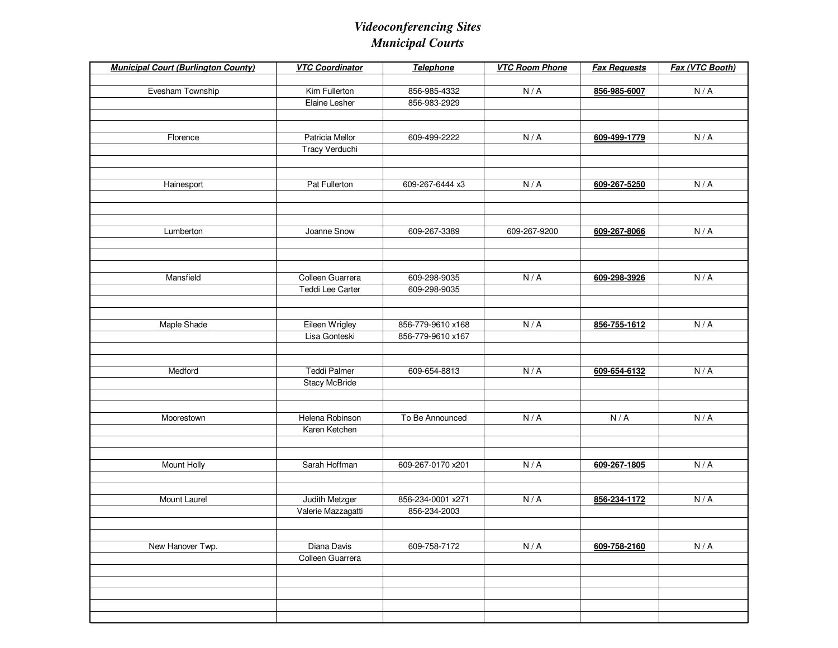| <b>Municipal Court (Burlington County)</b> | <b>VTC Coordinator</b> | Telephone         | <b>VTC Room Phone</b> | <b>Fax Requests</b> | Fax (VTC Booth) |
|--------------------------------------------|------------------------|-------------------|-----------------------|---------------------|-----------------|
|                                            |                        |                   |                       |                     |                 |
| Evesham Township                           | Kim Fullerton          | 856-985-4332      | N/A                   | 856-985-6007        | N/A             |
|                                            | Elaine Lesher          | 856-983-2929      |                       |                     |                 |
|                                            |                        |                   |                       |                     |                 |
|                                            |                        |                   |                       |                     |                 |
| Florence                                   | <b>Patricia Mellor</b> | 609-499-2222      | N/A                   | 609-499-1779        | N/A             |
|                                            | Tracy Verduchi         |                   |                       |                     |                 |
|                                            |                        |                   |                       |                     |                 |
| Hainesport                                 | Pat Fullerton          | 609-267-6444 x3   | N/A                   | 609-267-5250        | N/A             |
|                                            |                        |                   |                       |                     |                 |
|                                            |                        |                   |                       |                     |                 |
|                                            |                        |                   |                       |                     |                 |
| Lumberton                                  | Joanne Snow            | 609-267-3389      | 609-267-9200          | 609-267-8066        | N/A             |
|                                            |                        |                   |                       |                     |                 |
|                                            |                        |                   |                       |                     |                 |
|                                            |                        |                   |                       |                     |                 |
| Mansfield                                  | Colleen Guarrera       | 609-298-9035      | N/A                   | 609-298-3926        | N/A             |
|                                            | Teddi Lee Carter       | 609-298-9035      |                       |                     |                 |
|                                            |                        |                   |                       |                     |                 |
|                                            |                        |                   |                       |                     |                 |
| Maple Shade                                | Eileen Wrigley         | 856-779-9610 x168 | N/A                   | 856-755-1612        | N/A             |
|                                            | Lisa Gonteski          | 856-779-9610 x167 |                       |                     |                 |
|                                            |                        |                   |                       |                     |                 |
| Medford                                    | <b>Teddi Palmer</b>    | 609-654-8813      | N/A                   | 609-654-6132        | N/A             |
|                                            | Stacy McBride          |                   |                       |                     |                 |
|                                            |                        |                   |                       |                     |                 |
|                                            |                        |                   |                       |                     |                 |
| Moorestown                                 | Helena Robinson        | To Be Announced   | N/A                   | N/A                 | N/A             |
|                                            | Karen Ketchen          |                   |                       |                     |                 |
|                                            |                        |                   |                       |                     |                 |
|                                            |                        |                   |                       |                     |                 |
| Mount Holly                                | Sarah Hoffman          | 609-267-0170 x201 | N/A                   | 609-267-1805        | N/A             |
|                                            |                        |                   |                       |                     |                 |
|                                            |                        |                   |                       |                     |                 |
| Mount Laurel                               | Judith Metzger         | 856-234-0001 x271 | N/A                   | 856-234-1172        | N/A             |
|                                            | Valerie Mazzagatti     | 856-234-2003      |                       |                     |                 |
|                                            |                        |                   |                       |                     |                 |
| New Hanover Twp.                           | Diana Davis            | 609-758-7172      | N/A                   | 609-758-2160        | N/A             |
|                                            | Colleen Guarrera       |                   |                       |                     |                 |
|                                            |                        |                   |                       |                     |                 |
|                                            |                        |                   |                       |                     |                 |
|                                            |                        |                   |                       |                     |                 |
|                                            |                        |                   |                       |                     |                 |
|                                            |                        |                   |                       |                     |                 |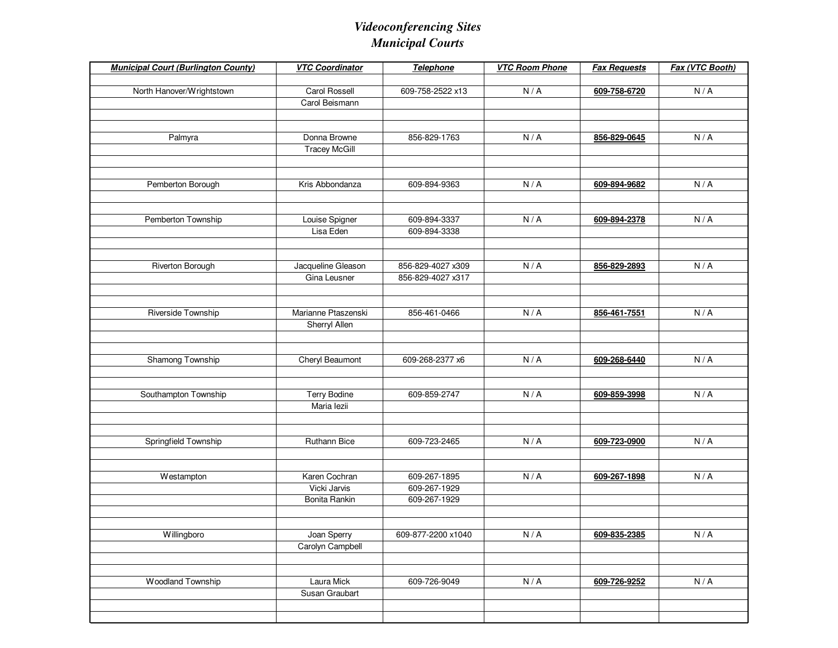| <b>Municipal Court (Burlington County)</b> | <b>VTC Coordinator</b> | Telephone          | <b>VTC Room Phone</b> | <b>Fax Requests</b> | Fax (VTC Booth)             |
|--------------------------------------------|------------------------|--------------------|-----------------------|---------------------|-----------------------------|
|                                            |                        |                    |                       |                     |                             |
| North Hanover/Wrightstown                  | Carol Rossell          | 609-758-2522 x13   | N/A                   | 609-758-6720        | N/A                         |
|                                            | Carol Beismann         |                    |                       |                     |                             |
|                                            |                        |                    |                       |                     |                             |
|                                            |                        |                    |                       |                     |                             |
| Palmyra                                    | Donna Browne           | 856-829-1763       | N/A                   | 856-829-0645        | N/A                         |
|                                            | <b>Tracey McGill</b>   |                    |                       |                     |                             |
|                                            |                        |                    |                       |                     |                             |
|                                            |                        |                    |                       |                     |                             |
| Pemberton Borough                          | Kris Abbondanza        | 609-894-9363       | N/A                   | 609-894-9682        | N/A                         |
|                                            |                        |                    |                       |                     |                             |
|                                            |                        |                    |                       |                     |                             |
| Pemberton Township                         | Louise Spigner         | 609-894-3337       | N/A                   | 609-894-2378        | N/A                         |
|                                            | Lisa Eden              | 609-894-3338       |                       |                     |                             |
|                                            |                        |                    |                       |                     |                             |
|                                            |                        |                    |                       |                     |                             |
| Riverton Borough                           | Jacqueline Gleason     | 856-829-4027 x309  | N/A                   | 856-829-2893        | N/A                         |
|                                            | Gina Leusner           | 856-829-4027 x317  |                       |                     |                             |
|                                            |                        |                    |                       |                     |                             |
|                                            |                        |                    |                       |                     |                             |
| Riverside Township                         | Marianne Ptaszenski    | 856-461-0466       | N/A                   | 856-461-7551        | N/A                         |
|                                            | Sherryl Allen          |                    |                       |                     |                             |
|                                            |                        |                    |                       |                     |                             |
|                                            |                        |                    |                       |                     |                             |
| Shamong Township                           | Cheryl Beaumont        | 609-268-2377 x6    | N/A                   | 609-268-6440        | N/A                         |
|                                            |                        |                    |                       |                     |                             |
|                                            |                        |                    |                       |                     |                             |
| Southampton Township                       | <b>Terry Bodine</b>    | 609-859-2747       | N/A                   | 609-859-3998        | N/A                         |
|                                            | Maria lezii            |                    |                       |                     |                             |
|                                            |                        |                    |                       |                     |                             |
|                                            |                        |                    |                       |                     |                             |
| Springfield Township                       | Ruthann Bice           | 609-723-2465       | N/A                   | 609-723-0900        | N/A                         |
|                                            |                        |                    |                       |                     |                             |
|                                            |                        |                    |                       |                     |                             |
| Westampton                                 | Karen Cochran          | 609-267-1895       | N/A                   | 609-267-1898        | N/A                         |
|                                            | Vicki Jarvis           | 609-267-1929       |                       |                     |                             |
|                                            | Bonita Rankin          | 609-267-1929       |                       |                     |                             |
|                                            |                        |                    |                       |                     |                             |
|                                            |                        |                    |                       |                     |                             |
| Willingboro                                | Joan Sperry            | 609-877-2200 x1040 | N/A                   | 609-835-2385        | $\mathsf{N}\,/\,\mathsf{A}$ |
|                                            | Carolyn Campbell       |                    |                       |                     |                             |
|                                            |                        |                    |                       |                     |                             |
|                                            |                        |                    |                       |                     |                             |
| Woodland Township                          | Laura Mick             | 609-726-9049       | N/A                   | 609-726-9252        | N/A                         |
|                                            | Susan Graubart         |                    |                       |                     |                             |
|                                            |                        |                    |                       |                     |                             |
|                                            |                        |                    |                       |                     |                             |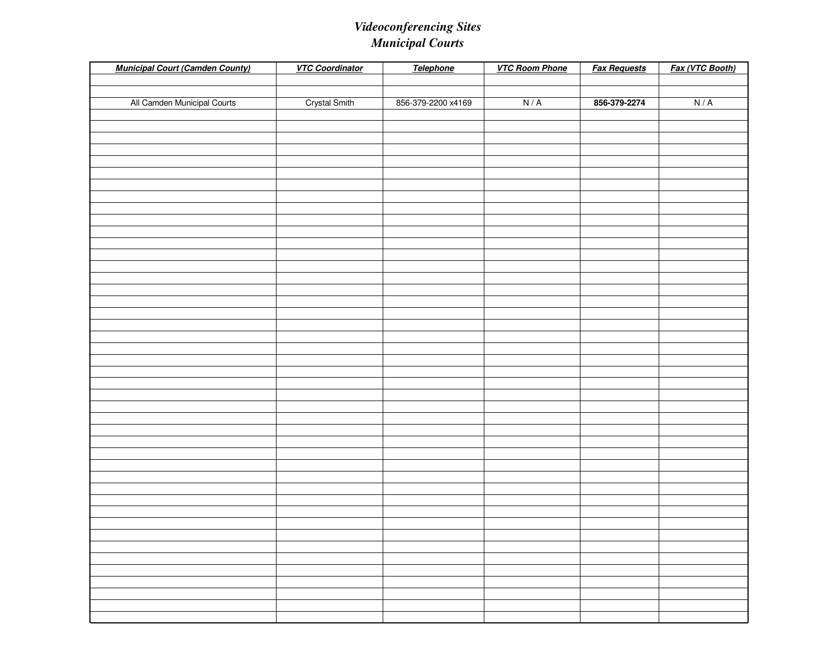| <b>Municipal Court (Camden County)</b> | <b>VTC Coordinator</b> | Telephone          | <b>VTC Room Phone</b> | <b>Fax Requests</b> | Fax (VTC Booth) |
|----------------------------------------|------------------------|--------------------|-----------------------|---------------------|-----------------|
|                                        |                        |                    |                       |                     |                 |
|                                        |                        |                    |                       |                     |                 |
| All Camden Municipal Courts            | <b>Crystal Smith</b>   | 856-379-2200 x4169 | N/A                   | 856-379-2274        | N/A             |
|                                        |                        |                    |                       |                     |                 |
|                                        |                        |                    |                       |                     |                 |
|                                        |                        |                    |                       |                     |                 |
|                                        |                        |                    |                       |                     |                 |
|                                        |                        |                    |                       |                     |                 |
|                                        |                        |                    |                       |                     |                 |
|                                        |                        |                    |                       |                     |                 |
|                                        |                        |                    |                       |                     |                 |
|                                        |                        |                    |                       |                     |                 |
|                                        |                        |                    |                       |                     |                 |
|                                        |                        |                    |                       |                     |                 |
|                                        |                        |                    |                       |                     |                 |
|                                        |                        |                    |                       |                     |                 |
|                                        |                        |                    |                       |                     |                 |
|                                        |                        |                    |                       |                     |                 |
|                                        |                        |                    |                       |                     |                 |
|                                        |                        |                    |                       |                     |                 |
|                                        |                        |                    |                       |                     |                 |
|                                        |                        |                    |                       |                     |                 |
|                                        |                        |                    |                       |                     |                 |
|                                        |                        |                    |                       |                     |                 |
|                                        |                        |                    |                       |                     |                 |
|                                        |                        |                    |                       |                     |                 |
|                                        |                        |                    |                       |                     |                 |
|                                        |                        |                    |                       |                     |                 |
|                                        |                        |                    |                       |                     |                 |
|                                        |                        |                    |                       |                     |                 |
|                                        |                        |                    |                       |                     |                 |
|                                        |                        |                    |                       |                     |                 |
|                                        |                        |                    |                       |                     |                 |
|                                        |                        |                    |                       |                     |                 |
|                                        |                        |                    |                       |                     |                 |
|                                        |                        |                    |                       |                     |                 |
|                                        |                        |                    |                       |                     |                 |
|                                        |                        |                    |                       |                     |                 |
|                                        |                        |                    |                       |                     |                 |
|                                        |                        |                    |                       |                     |                 |
|                                        |                        |                    |                       |                     |                 |
|                                        |                        |                    |                       |                     |                 |
|                                        |                        |                    |                       |                     |                 |
|                                        |                        |                    |                       |                     |                 |
|                                        |                        |                    |                       |                     |                 |
|                                        |                        |                    |                       |                     |                 |
|                                        |                        |                    |                       |                     |                 |
|                                        |                        |                    |                       |                     |                 |
|                                        |                        |                    |                       |                     |                 |
|                                        |                        |                    |                       |                     |                 |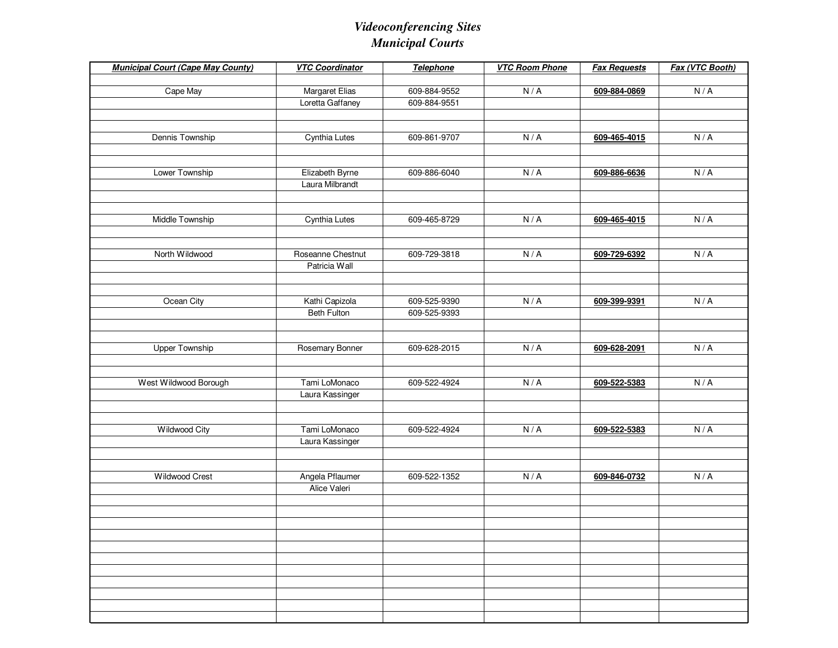| <b>VTC Coordinator</b> | Telephone                                                                                                                                                                                                                                                                        | <b>VTC Room Phone</b>                                                                                                                                                        | <b>Fax Requests</b>                                         | Fax (VTC Booth)                                                                                                                              |
|------------------------|----------------------------------------------------------------------------------------------------------------------------------------------------------------------------------------------------------------------------------------------------------------------------------|------------------------------------------------------------------------------------------------------------------------------------------------------------------------------|-------------------------------------------------------------|----------------------------------------------------------------------------------------------------------------------------------------------|
|                        |                                                                                                                                                                                                                                                                                  |                                                                                                                                                                              |                                                             |                                                                                                                                              |
|                        |                                                                                                                                                                                                                                                                                  |                                                                                                                                                                              |                                                             | N/A                                                                                                                                          |
|                        |                                                                                                                                                                                                                                                                                  |                                                                                                                                                                              |                                                             |                                                                                                                                              |
|                        |                                                                                                                                                                                                                                                                                  |                                                                                                                                                                              |                                                             |                                                                                                                                              |
|                        |                                                                                                                                                                                                                                                                                  |                                                                                                                                                                              |                                                             |                                                                                                                                              |
|                        |                                                                                                                                                                                                                                                                                  |                                                                                                                                                                              |                                                             | N/A                                                                                                                                          |
|                        |                                                                                                                                                                                                                                                                                  |                                                                                                                                                                              |                                                             |                                                                                                                                              |
|                        |                                                                                                                                                                                                                                                                                  |                                                                                                                                                                              |                                                             | N/A                                                                                                                                          |
|                        |                                                                                                                                                                                                                                                                                  |                                                                                                                                                                              |                                                             |                                                                                                                                              |
|                        |                                                                                                                                                                                                                                                                                  |                                                                                                                                                                              |                                                             |                                                                                                                                              |
|                        |                                                                                                                                                                                                                                                                                  |                                                                                                                                                                              |                                                             |                                                                                                                                              |
|                        |                                                                                                                                                                                                                                                                                  |                                                                                                                                                                              |                                                             | N/A                                                                                                                                          |
|                        |                                                                                                                                                                                                                                                                                  |                                                                                                                                                                              |                                                             |                                                                                                                                              |
|                        |                                                                                                                                                                                                                                                                                  |                                                                                                                                                                              |                                                             |                                                                                                                                              |
| Roseanne Chestnut      | 609-729-3818                                                                                                                                                                                                                                                                     | N/A                                                                                                                                                                          | 609-729-6392                                                | N/A                                                                                                                                          |
| Patricia Wall          |                                                                                                                                                                                                                                                                                  |                                                                                                                                                                              |                                                             |                                                                                                                                              |
|                        |                                                                                                                                                                                                                                                                                  |                                                                                                                                                                              |                                                             |                                                                                                                                              |
|                        |                                                                                                                                                                                                                                                                                  |                                                                                                                                                                              |                                                             |                                                                                                                                              |
|                        |                                                                                                                                                                                                                                                                                  |                                                                                                                                                                              |                                                             | N/A                                                                                                                                          |
|                        |                                                                                                                                                                                                                                                                                  |                                                                                                                                                                              |                                                             |                                                                                                                                              |
|                        |                                                                                                                                                                                                                                                                                  |                                                                                                                                                                              |                                                             |                                                                                                                                              |
|                        |                                                                                                                                                                                                                                                                                  |                                                                                                                                                                              |                                                             |                                                                                                                                              |
|                        |                                                                                                                                                                                                                                                                                  |                                                                                                                                                                              |                                                             | N/A                                                                                                                                          |
|                        |                                                                                                                                                                                                                                                                                  |                                                                                                                                                                              |                                                             |                                                                                                                                              |
|                        |                                                                                                                                                                                                                                                                                  |                                                                                                                                                                              |                                                             | N/A                                                                                                                                          |
|                        |                                                                                                                                                                                                                                                                                  |                                                                                                                                                                              |                                                             |                                                                                                                                              |
|                        |                                                                                                                                                                                                                                                                                  |                                                                                                                                                                              |                                                             |                                                                                                                                              |
|                        |                                                                                                                                                                                                                                                                                  |                                                                                                                                                                              |                                                             |                                                                                                                                              |
|                        |                                                                                                                                                                                                                                                                                  |                                                                                                                                                                              |                                                             | N/A                                                                                                                                          |
|                        |                                                                                                                                                                                                                                                                                  |                                                                                                                                                                              |                                                             |                                                                                                                                              |
|                        |                                                                                                                                                                                                                                                                                  |                                                                                                                                                                              |                                                             |                                                                                                                                              |
|                        |                                                                                                                                                                                                                                                                                  |                                                                                                                                                                              |                                                             |                                                                                                                                              |
|                        |                                                                                                                                                                                                                                                                                  |                                                                                                                                                                              |                                                             | N/A                                                                                                                                          |
|                        |                                                                                                                                                                                                                                                                                  |                                                                                                                                                                              |                                                             |                                                                                                                                              |
|                        |                                                                                                                                                                                                                                                                                  |                                                                                                                                                                              |                                                             |                                                                                                                                              |
|                        |                                                                                                                                                                                                                                                                                  |                                                                                                                                                                              |                                                             |                                                                                                                                              |
|                        |                                                                                                                                                                                                                                                                                  |                                                                                                                                                                              |                                                             |                                                                                                                                              |
|                        |                                                                                                                                                                                                                                                                                  |                                                                                                                                                                              |                                                             |                                                                                                                                              |
|                        |                                                                                                                                                                                                                                                                                  |                                                                                                                                                                              |                                                             |                                                                                                                                              |
|                        |                                                                                                                                                                                                                                                                                  |                                                                                                                                                                              |                                                             |                                                                                                                                              |
|                        |                                                                                                                                                                                                                                                                                  |                                                                                                                                                                              |                                                             |                                                                                                                                              |
|                        |                                                                                                                                                                                                                                                                                  |                                                                                                                                                                              |                                                             |                                                                                                                                              |
|                        |                                                                                                                                                                                                                                                                                  |                                                                                                                                                                              |                                                             |                                                                                                                                              |
|                        |                                                                                                                                                                                                                                                                                  |                                                                                                                                                                              |                                                             |                                                                                                                                              |
|                        | Margaret Elias<br>Loretta Gaffaney<br>Cynthia Lutes<br>Elizabeth Byrne<br>Laura Milbrandt<br>Cynthia Lutes<br>Kathi Capizola<br><b>Beth Fulton</b><br>Rosemary Bonner<br>Tami LoMonaco<br>Laura Kassinger<br>Tami LoMonaco<br>Laura Kassinger<br>Angela Pflaumer<br>Alice Valeri | 609-884-9552<br>609-884-9551<br>609-861-9707<br>609-886-6040<br>609-465-8729<br>609-525-9390<br>609-525-9393<br>609-628-2015<br>609-522-4924<br>609-522-4924<br>609-522-1352 | N/A<br>N/A<br>N/A<br>N/A<br>N/A<br>N/A<br>N/A<br>N/A<br>N/A | 609-884-0869<br>609-465-4015<br>609-886-6636<br>609-465-4015<br>609-399-9391<br>609-628-2091<br>609-522-5383<br>609-522-5383<br>609-846-0732 |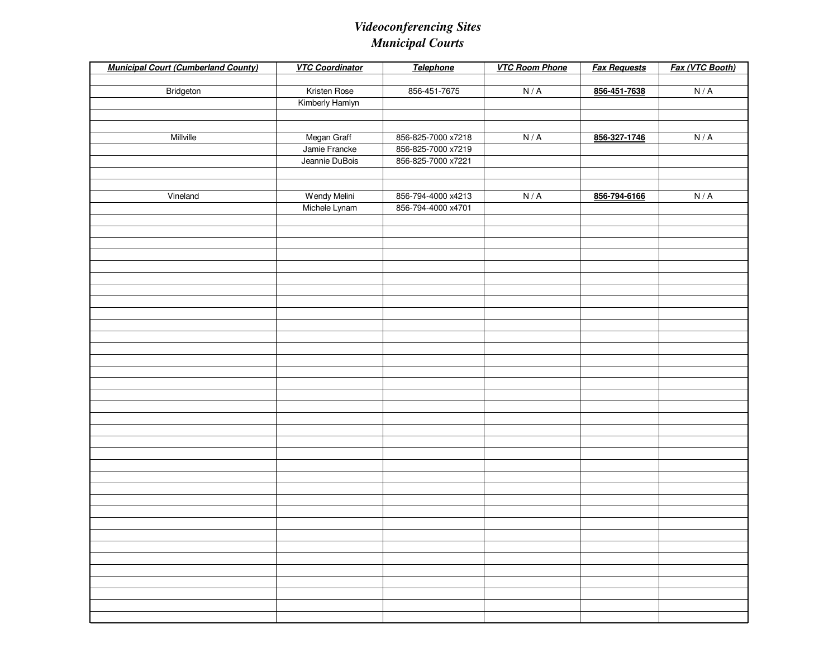| <b>Municipal Court (Cumberland County)</b> | <b>VTC Coordinator</b> | <b>Telephone</b>   | <b>VTC Room Phone</b> | <b>Fax Requests</b> | Fax (VTC Booth) |
|--------------------------------------------|------------------------|--------------------|-----------------------|---------------------|-----------------|
|                                            |                        |                    |                       |                     |                 |
| Bridgeton                                  | Kristen Rose           | 856-451-7675       | N/A                   | 856-451-7638        | N/A             |
|                                            | Kimberly Hamlyn        |                    |                       |                     |                 |
|                                            |                        |                    |                       |                     |                 |
|                                            |                        |                    |                       |                     |                 |
| Millville                                  | Megan Graff            | 856-825-7000 x7218 | N/A                   | 856-327-1746        | N/A             |
|                                            | Jamie Francke          | 856-825-7000 x7219 |                       |                     |                 |
|                                            | Jeannie DuBois         | 856-825-7000 x7221 |                       |                     |                 |
|                                            |                        |                    |                       |                     |                 |
|                                            |                        |                    |                       |                     |                 |
| Vineland                                   | Wendy Melini           | 856-794-4000 x4213 | N/A                   | 856-794-6166        | N/A             |
|                                            | Michele Lynam          | 856-794-4000 x4701 |                       |                     |                 |
|                                            |                        |                    |                       |                     |                 |
|                                            |                        |                    |                       |                     |                 |
|                                            |                        |                    |                       |                     |                 |
|                                            |                        |                    |                       |                     |                 |
|                                            |                        |                    |                       |                     |                 |
|                                            |                        |                    |                       |                     |                 |
|                                            |                        |                    |                       |                     |                 |
|                                            |                        |                    |                       |                     |                 |
|                                            |                        |                    |                       |                     |                 |
|                                            |                        |                    |                       |                     |                 |
|                                            |                        |                    |                       |                     |                 |
|                                            |                        |                    |                       |                     |                 |
|                                            |                        |                    |                       |                     |                 |
|                                            |                        |                    |                       |                     |                 |
|                                            |                        |                    |                       |                     |                 |
|                                            |                        |                    |                       |                     |                 |
|                                            |                        |                    |                       |                     |                 |
|                                            |                        |                    |                       |                     |                 |
|                                            |                        |                    |                       |                     |                 |
|                                            |                        |                    |                       |                     |                 |
|                                            |                        |                    |                       |                     |                 |
|                                            |                        |                    |                       |                     |                 |
|                                            |                        |                    |                       |                     |                 |
|                                            |                        |                    |                       |                     |                 |
|                                            |                        |                    |                       |                     |                 |
|                                            |                        |                    |                       |                     |                 |
|                                            |                        |                    |                       |                     |                 |
|                                            |                        |                    |                       |                     |                 |
|                                            |                        |                    |                       |                     |                 |
|                                            |                        |                    |                       |                     |                 |
|                                            |                        |                    |                       |                     |                 |
|                                            |                        |                    |                       |                     |                 |
|                                            |                        |                    |                       |                     |                 |
|                                            |                        |                    |                       |                     |                 |
|                                            |                        |                    |                       |                     |                 |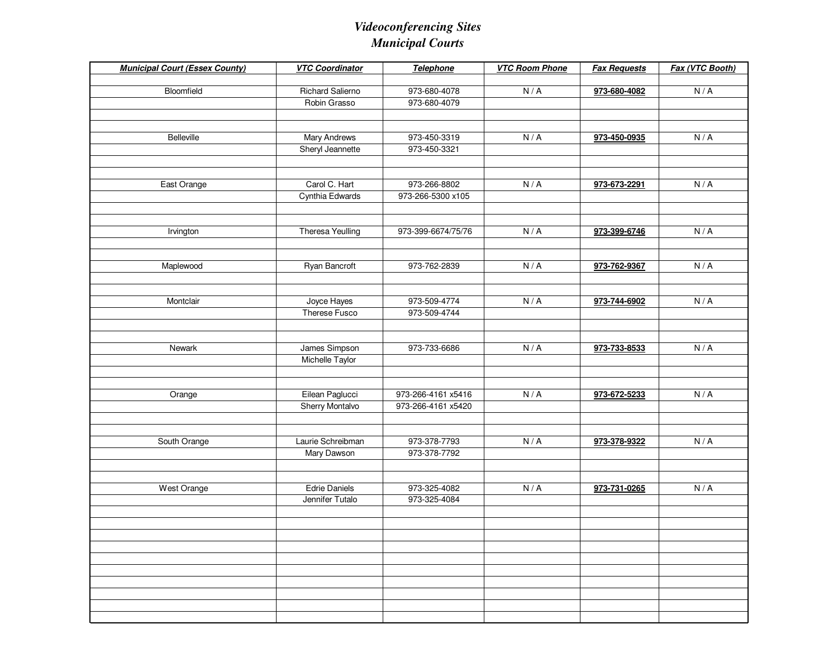| Bloomfield<br><b>Richard Salierno</b><br>973-680-4078<br>N/A<br>973-680-4082<br>Robin Grasso<br>973-680-4079 | N/A |
|--------------------------------------------------------------------------------------------------------------|-----|
|                                                                                                              |     |
|                                                                                                              |     |
|                                                                                                              |     |
|                                                                                                              |     |
| N/A<br>Belleville<br>Mary Andrews<br>973-450-3319<br>973-450-0935                                            | N/A |
| Sheryl Jeannette<br>973-450-3321                                                                             |     |
|                                                                                                              |     |
|                                                                                                              |     |
| Carol C. Hart<br>East Orange<br>973-266-8802<br>N/A<br>973-673-2291                                          | N/A |
| Cynthia Edwards<br>973-266-5300 x105                                                                         |     |
|                                                                                                              |     |
|                                                                                                              |     |
| <b>Theresa Yeulling</b><br>973-399-6674/75/76<br>N/A<br>973-399-6746<br>Irvington                            | N/A |
|                                                                                                              |     |
|                                                                                                              |     |
| Ryan Bancroft<br>Maplewood<br>973-762-2839<br>N/A<br>973-762-9367                                            | N/A |
|                                                                                                              |     |
| Joyce Hayes                                                                                                  |     |
| Montclair<br>973-509-4774<br>N/A<br>973-744-6902<br>Therese Fusco<br>973-509-4744                            | N/A |
|                                                                                                              |     |
|                                                                                                              |     |
| James Simpson<br>N/A<br>Newark<br>973-733-6686<br>973-733-8533                                               | N/A |
| Michelle Taylor                                                                                              |     |
|                                                                                                              |     |
|                                                                                                              |     |
| Eilean Paglucci<br>973-266-4161 x5416<br>N/A<br>Orange<br>973-672-5233                                       | N/A |
| Sherry Montalvo<br>973-266-4161 x5420                                                                        |     |
|                                                                                                              |     |
|                                                                                                              |     |
| Laurie Schreibman<br>973-378-7793<br>N/A<br>South Orange<br>973-378-9322                                     | N/A |
| Mary Dawson<br>973-378-7792                                                                                  |     |
|                                                                                                              |     |
|                                                                                                              |     |
| West Orange<br><b>Edrie Daniels</b><br>973-325-4082<br>N/A<br>973-731-0265                                   | N/A |
| Jennifer Tutalo<br>973-325-4084                                                                              |     |
|                                                                                                              |     |
|                                                                                                              |     |
|                                                                                                              |     |
|                                                                                                              |     |
|                                                                                                              |     |
|                                                                                                              |     |
|                                                                                                              |     |
|                                                                                                              |     |
|                                                                                                              |     |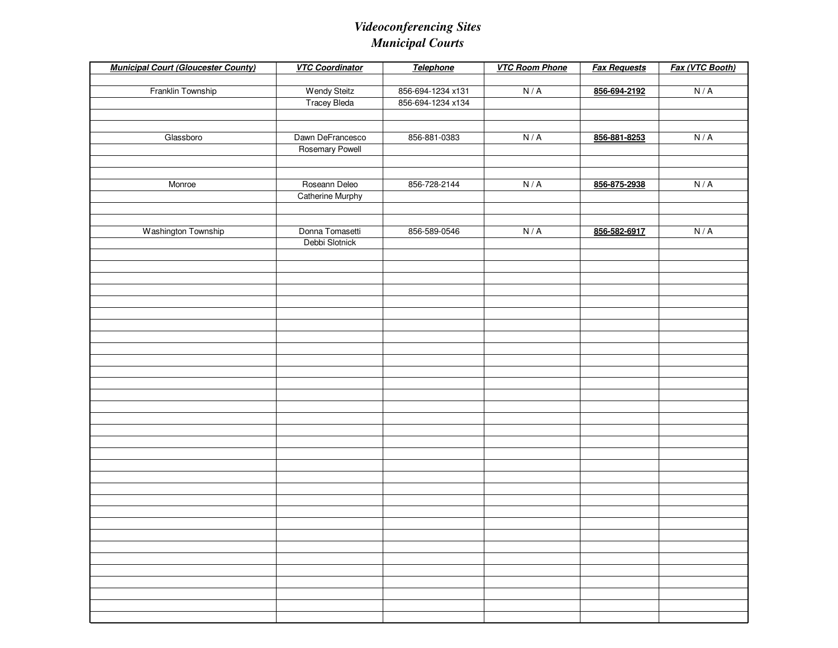| <b>Municipal Court (Gloucester County)</b> | <b>VTC Coordinator</b>  | <b>Telephone</b>  | <b>VTC Room Phone</b> | <b>Fax Requests</b> | Fax (VTC Booth) |
|--------------------------------------------|-------------------------|-------------------|-----------------------|---------------------|-----------------|
|                                            |                         |                   |                       |                     |                 |
| Franklin Township                          | <b>Wendy Steitz</b>     | 856-694-1234 x131 | N/A                   | 856-694-2192        | N/A             |
|                                            | <b>Tracey Bleda</b>     | 856-694-1234 x134 |                       |                     |                 |
|                                            |                         |                   |                       |                     |                 |
| Glassboro                                  | Dawn DeFrancesco        | 856-881-0383      | N/A                   | 856-881-8253        | N/A             |
|                                            | <b>Rosemary Powell</b>  |                   |                       |                     |                 |
|                                            |                         |                   |                       |                     |                 |
|                                            |                         |                   |                       |                     |                 |
| Monroe                                     | Roseann Deleo           | 856-728-2144      | N/A                   | 856-875-2938        | N/A             |
|                                            | <b>Catherine Murphy</b> |                   |                       |                     |                 |
|                                            |                         |                   |                       |                     |                 |
|                                            |                         |                   |                       |                     |                 |
| Washington Township                        | Donna Tomasetti         | 856-589-0546      | N/A                   | 856-582-6917        | N/A             |
|                                            | Debbi Slotnick          |                   |                       |                     |                 |
|                                            |                         |                   |                       |                     |                 |
|                                            |                         |                   |                       |                     |                 |
|                                            |                         |                   |                       |                     |                 |
|                                            |                         |                   |                       |                     |                 |
|                                            |                         |                   |                       |                     |                 |
|                                            |                         |                   |                       |                     |                 |
|                                            |                         |                   |                       |                     |                 |
|                                            |                         |                   |                       |                     |                 |
|                                            |                         |                   |                       |                     |                 |
|                                            |                         |                   |                       |                     |                 |
|                                            |                         |                   |                       |                     |                 |
|                                            |                         |                   |                       |                     |                 |
|                                            |                         |                   |                       |                     |                 |
|                                            |                         |                   |                       |                     |                 |
|                                            |                         |                   |                       |                     |                 |
|                                            |                         |                   |                       |                     |                 |
|                                            |                         |                   |                       |                     |                 |
|                                            |                         |                   |                       |                     |                 |
|                                            |                         |                   |                       |                     |                 |
|                                            |                         |                   |                       |                     |                 |
|                                            |                         |                   |                       |                     |                 |
|                                            |                         |                   |                       |                     |                 |
|                                            |                         |                   |                       |                     |                 |
|                                            |                         |                   |                       |                     |                 |
|                                            |                         |                   |                       |                     |                 |
|                                            |                         |                   |                       |                     |                 |
|                                            |                         |                   |                       |                     |                 |
|                                            |                         |                   |                       |                     |                 |
|                                            |                         |                   |                       |                     |                 |
|                                            |                         |                   |                       |                     |                 |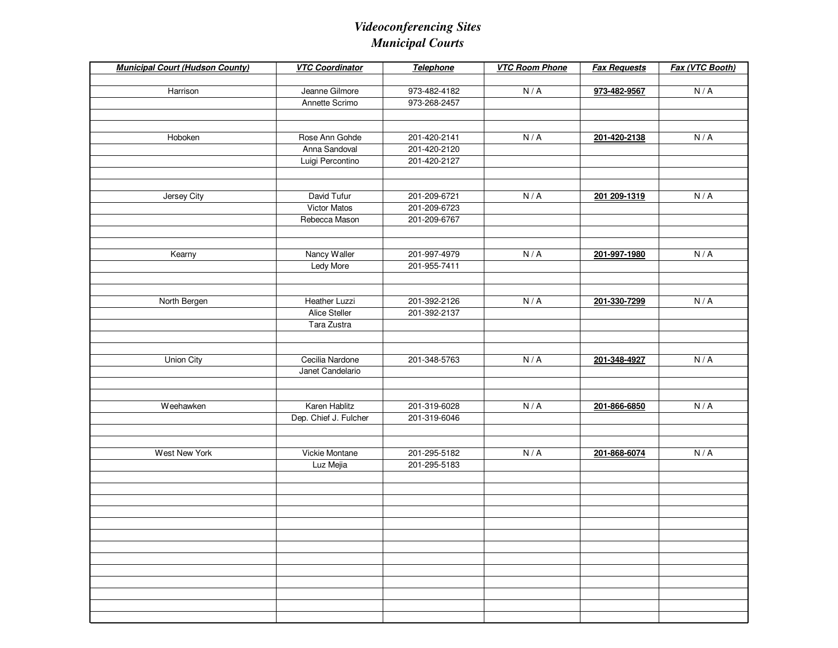| <b>Municipal Court (Hudson County)</b> | <b>VTC Coordinator</b> | Telephone    | <b>VTC Room Phone</b> | <b>Fax Requests</b> | Fax (VTC Booth) |
|----------------------------------------|------------------------|--------------|-----------------------|---------------------|-----------------|
| Harrison                               | Jeanne Gilmore         | 973-482-4182 | N/A                   | 973-482-9567        | N/A             |
|                                        | Annette Scrimo         | 973-268-2457 |                       |                     |                 |
|                                        |                        |              |                       |                     |                 |
|                                        |                        |              |                       |                     |                 |
| Hoboken                                | Rose Ann Gohde         | 201-420-2141 | N/A                   | 201-420-2138        | N/A             |
|                                        | Anna Sandoval          | 201-420-2120 |                       |                     |                 |
|                                        | Luigi Percontino       | 201-420-2127 |                       |                     |                 |
|                                        |                        |              |                       |                     |                 |
|                                        |                        |              |                       |                     |                 |
| Jersey City                            | David Tufur            | 201-209-6721 | N/A                   | 201 209-1319        | N/A             |
|                                        | <b>Victor Matos</b>    | 201-209-6723 |                       |                     |                 |
|                                        | Rebecca Mason          | 201-209-6767 |                       |                     |                 |
|                                        |                        |              |                       |                     |                 |
|                                        |                        |              |                       |                     |                 |
| Kearny                                 | Nancy Waller           | 201-997-4979 | N/A                   | 201-997-1980        | N/A             |
|                                        | Ledy More              | 201-955-7411 |                       |                     |                 |
|                                        |                        |              |                       |                     |                 |
| North Bergen                           | Heather Luzzi          | 201-392-2126 | N/A                   | 201-330-7299        | N/A             |
|                                        | Alice Steller          | 201-392-2137 |                       |                     |                 |
|                                        | Tara Zustra            |              |                       |                     |                 |
|                                        |                        |              |                       |                     |                 |
|                                        |                        |              |                       |                     |                 |
| Union City                             | Cecilia Nardone        | 201-348-5763 | N/A                   | 201-348-4927        | N/A             |
|                                        | Janet Candelario       |              |                       |                     |                 |
|                                        |                        |              |                       |                     |                 |
|                                        |                        |              |                       |                     |                 |
| Weehawken                              | Karen Hablitz          | 201-319-6028 | N/A                   | 201-866-6850        | N/A             |
|                                        | Dep. Chief J. Fulcher  | 201-319-6046 |                       |                     |                 |
|                                        |                        |              |                       |                     |                 |
|                                        |                        |              |                       |                     |                 |
| West New York                          | Vickie Montane         | 201-295-5182 | N/A                   | 201-868-6074        | N/A             |
|                                        | Luz Mejia              | 201-295-5183 |                       |                     |                 |
|                                        |                        |              |                       |                     |                 |
|                                        |                        |              |                       |                     |                 |
|                                        |                        |              |                       |                     |                 |
|                                        |                        |              |                       |                     |                 |
|                                        |                        |              |                       |                     |                 |
|                                        |                        |              |                       |                     |                 |
|                                        |                        |              |                       |                     |                 |
|                                        |                        |              |                       |                     |                 |
|                                        |                        |              |                       |                     |                 |
|                                        |                        |              |                       |                     |                 |
|                                        |                        |              |                       |                     |                 |
|                                        |                        |              |                       |                     |                 |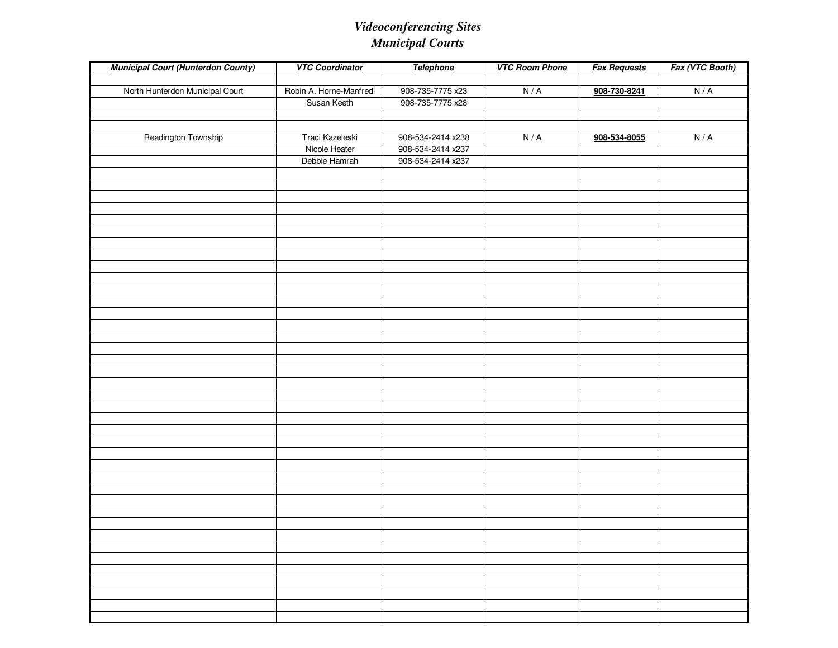| <b>Municipal Court (Hunterdon County)</b> | <b>VTC Coordinator</b>  | <b>Telephone</b>  | <b>VTC Room Phone</b> | <b>Fax Requests</b> | Fax (VTC Booth) |
|-------------------------------------------|-------------------------|-------------------|-----------------------|---------------------|-----------------|
|                                           |                         |                   |                       |                     |                 |
| North Hunterdon Municipal Court           | Robin A. Horne-Manfredi | 908-735-7775 x23  | N/A                   | 908-730-8241        | N/A             |
|                                           | Susan Keeth             | 908-735-7775 x28  |                       |                     |                 |
|                                           |                         |                   |                       |                     |                 |
| Readington Township                       | Traci Kazeleski         | 908-534-2414 x238 | N/A                   | 908-534-8055        | N/A             |
|                                           | Nicole Heater           | 908-534-2414 x237 |                       |                     |                 |
|                                           | Debbie Hamrah           | 908-534-2414 x237 |                       |                     |                 |
|                                           |                         |                   |                       |                     |                 |
|                                           |                         |                   |                       |                     |                 |
|                                           |                         |                   |                       |                     |                 |
|                                           |                         |                   |                       |                     |                 |
|                                           |                         |                   |                       |                     |                 |
|                                           |                         |                   |                       |                     |                 |
|                                           |                         |                   |                       |                     |                 |
|                                           |                         |                   |                       |                     |                 |
|                                           |                         |                   |                       |                     |                 |
|                                           |                         |                   |                       |                     |                 |
|                                           |                         |                   |                       |                     |                 |
|                                           |                         |                   |                       |                     |                 |
|                                           |                         |                   |                       |                     |                 |
|                                           |                         |                   |                       |                     |                 |
|                                           |                         |                   |                       |                     |                 |
|                                           |                         |                   |                       |                     |                 |
|                                           |                         |                   |                       |                     |                 |
|                                           |                         |                   |                       |                     |                 |
|                                           |                         |                   |                       |                     |                 |
|                                           |                         |                   |                       |                     |                 |
|                                           |                         |                   |                       |                     |                 |
|                                           |                         |                   |                       |                     |                 |
|                                           |                         |                   |                       |                     |                 |
|                                           |                         |                   |                       |                     |                 |
|                                           |                         |                   |                       |                     |                 |
|                                           |                         |                   |                       |                     |                 |
|                                           |                         |                   |                       |                     |                 |
|                                           |                         |                   |                       |                     |                 |
|                                           |                         |                   |                       |                     |                 |
|                                           |                         |                   |                       |                     |                 |
|                                           |                         |                   |                       |                     |                 |
|                                           |                         |                   |                       |                     |                 |
|                                           |                         |                   |                       |                     |                 |
|                                           |                         |                   |                       |                     |                 |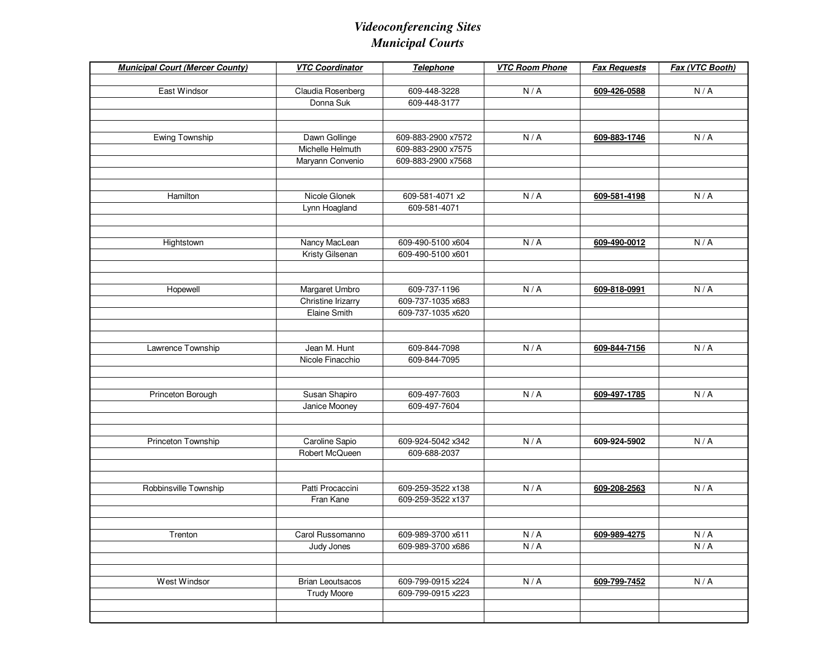| <b>Municipal Court (Mercer County)</b> | <b>VTC Coordinator</b>  | <b>Telephone</b>   | <b>VTC Room Phone</b>       | <b>Fax Requests</b> | Fax (VTC Booth)             |
|----------------------------------------|-------------------------|--------------------|-----------------------------|---------------------|-----------------------------|
|                                        |                         |                    |                             |                     |                             |
| East Windsor                           | Claudia Rosenberg       | 609-448-3228       | N/A                         | 609-426-0588        | N/A                         |
|                                        | Donna Suk               | 609-448-3177       |                             |                     |                             |
|                                        |                         |                    |                             |                     |                             |
| Ewing Township                         | Dawn Gollinge           | 609-883-2900 x7572 | N/A                         | 609-883-1746        | N/A                         |
|                                        | Michelle Helmuth        | 609-883-2900 x7575 |                             |                     |                             |
|                                        | Maryann Convenio        | 609-883-2900 x7568 |                             |                     |                             |
|                                        |                         |                    |                             |                     |                             |
|                                        |                         |                    |                             |                     |                             |
| Hamilton                               | Nicole Glonek           | 609-581-4071 x2    | N/A                         | 609-581-4198        | N/A                         |
|                                        | Lynn Hoagland           | 609-581-4071       |                             |                     |                             |
|                                        |                         |                    |                             |                     |                             |
|                                        |                         |                    |                             |                     |                             |
| Hightstown                             | Nancy MacLean           | 609-490-5100 x604  | N/A                         | 609-490-0012        | N/A                         |
|                                        | Kristy Gilsenan         | 609-490-5100 x601  |                             |                     |                             |
|                                        |                         |                    |                             |                     |                             |
| Hopewell                               | Margaret Umbro          | 609-737-1196       | N/A                         | 609-818-0991        | N/A                         |
|                                        | Christine Irizarry      | 609-737-1035 x683  |                             |                     |                             |
|                                        | <b>Elaine Smith</b>     | 609-737-1035 x620  |                             |                     |                             |
|                                        |                         |                    |                             |                     |                             |
|                                        |                         |                    |                             |                     |                             |
| Lawrence Township                      | Jean M. Hunt            | 609-844-7098       | N/A                         | 609-844-7156        | N/A                         |
|                                        | Nicole Finacchio        | 609-844-7095       |                             |                     |                             |
|                                        |                         |                    |                             |                     |                             |
|                                        |                         |                    |                             |                     |                             |
| Princeton Borough                      | Susan Shapiro           | 609-497-7603       | N/A                         | 609-497-1785        | N/A                         |
|                                        | Janice Mooney           | 609-497-7604       |                             |                     |                             |
|                                        |                         |                    |                             |                     |                             |
| Princeton Township                     | Caroline Sapio          | 609-924-5042 x342  | N/A                         | 609-924-5902        | N/A                         |
|                                        | Robert McQueen          | 609-688-2037       |                             |                     |                             |
|                                        |                         |                    |                             |                     |                             |
|                                        |                         |                    |                             |                     |                             |
| Robbinsville Township                  | Patti Procaccini        | 609-259-3522 x138  | N/A                         | 609-208-2563        | N/A                         |
|                                        | Fran Kane               | 609-259-3522 x137  |                             |                     |                             |
|                                        |                         |                    |                             |                     |                             |
|                                        |                         |                    |                             |                     |                             |
| Trenton                                | Carol Russomanno        | 609-989-3700 x611  | $\mathsf{N}\,/\,\mathsf{A}$ | 609-989-4275        | $\mathsf{N}\,/\,\mathsf{A}$ |
|                                        | Judy Jones              | 609-989-3700 x686  | N/A                         |                     | N/A                         |
|                                        |                         |                    |                             |                     |                             |
| West Windsor                           | <b>Brian Leoutsacos</b> | 609-799-0915 x224  | N/A                         | 609-799-7452        | N/A                         |
|                                        | <b>Trudy Moore</b>      | 609-799-0915 x223  |                             |                     |                             |
|                                        |                         |                    |                             |                     |                             |
|                                        |                         |                    |                             |                     |                             |
|                                        |                         |                    |                             |                     |                             |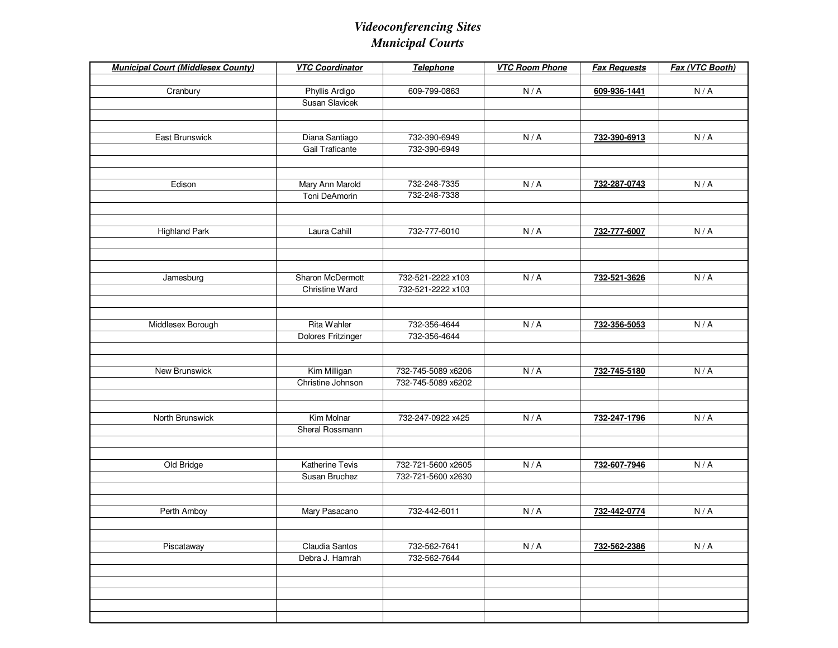| <b>Municipal Court (Middlesex County)</b> | <b>VTC Coordinator</b> | Telephone          | <b>VTC Room Phone</b> | <b>Fax Requests</b> | Fax (VTC Booth) |
|-------------------------------------------|------------------------|--------------------|-----------------------|---------------------|-----------------|
|                                           |                        |                    |                       |                     |                 |
| Cranbury                                  | Phyllis Ardigo         | 609-799-0863       | N/A                   | 609-936-1441        | N/A             |
|                                           | Susan Slavicek         |                    |                       |                     |                 |
|                                           |                        |                    |                       |                     |                 |
| East Brunswick                            | Diana Santiago         | 732-390-6949       | N/A                   | 732-390-6913        | N/A             |
|                                           | Gail Traficante        | 732-390-6949       |                       |                     |                 |
|                                           |                        |                    |                       |                     |                 |
|                                           |                        |                    |                       |                     |                 |
| Edison                                    | Mary Ann Marold        | 732-248-7335       | N/A                   | 732-287-0743        | N/A             |
|                                           | Toni DeAmorin          | 732-248-7338       |                       |                     |                 |
|                                           |                        |                    |                       |                     |                 |
|                                           |                        |                    |                       |                     |                 |
| <b>Highland Park</b>                      | Laura Cahill           | 732-777-6010       | N/A                   | 732-777-6007        | N/A             |
|                                           |                        |                    |                       |                     |                 |
|                                           |                        |                    |                       |                     |                 |
| Jamesburg                                 | Sharon McDermott       | 732-521-2222 x103  | N/A                   | 732-521-3626        | N/A             |
|                                           | Christine Ward         | 732-521-2222 x103  |                       |                     |                 |
|                                           |                        |                    |                       |                     |                 |
|                                           |                        |                    |                       |                     |                 |
| Middlesex Borough                         | Rita Wahler            | 732-356-4644       | N/A                   | 732-356-5053        | N/A             |
|                                           | Dolores Fritzinger     | 732-356-4644       |                       |                     |                 |
|                                           |                        |                    |                       |                     |                 |
|                                           |                        |                    |                       |                     |                 |
| New Brunswick                             | Kim Milligan           | 732-745-5089 x6206 | N/A                   | 732-745-5180        | N/A             |
|                                           | Christine Johnson      | 732-745-5089 x6202 |                       |                     |                 |
|                                           |                        |                    |                       |                     |                 |
|                                           |                        |                    |                       |                     |                 |
| North Brunswick                           | Kim Molnar             | 732-247-0922 x425  | N/A                   | 732-247-1796        | N/A             |
|                                           | Sheral Rossmann        |                    |                       |                     |                 |
|                                           |                        |                    |                       |                     |                 |
| Old Bridge                                | <b>Katherine Tevis</b> | 732-721-5600 x2605 | N/A                   | 732-607-7946        | N/A             |
|                                           | Susan Bruchez          | 732-721-5600 x2630 |                       |                     |                 |
|                                           |                        |                    |                       |                     |                 |
|                                           |                        |                    |                       |                     |                 |
| Perth Amboy                               | Mary Pasacano          | 732-442-6011       | N/A                   | 732-442-0774        | N/A             |
|                                           |                        |                    |                       |                     |                 |
|                                           |                        |                    |                       |                     |                 |
| Piscataway                                | Claudia Santos         | 732-562-7641       | N/A                   | 732-562-2386        | N/A             |
|                                           | Debra J. Hamrah        | 732-562-7644       |                       |                     |                 |
|                                           |                        |                    |                       |                     |                 |
|                                           |                        |                    |                       |                     |                 |
|                                           |                        |                    |                       |                     |                 |
|                                           |                        |                    |                       |                     |                 |
|                                           |                        |                    |                       |                     |                 |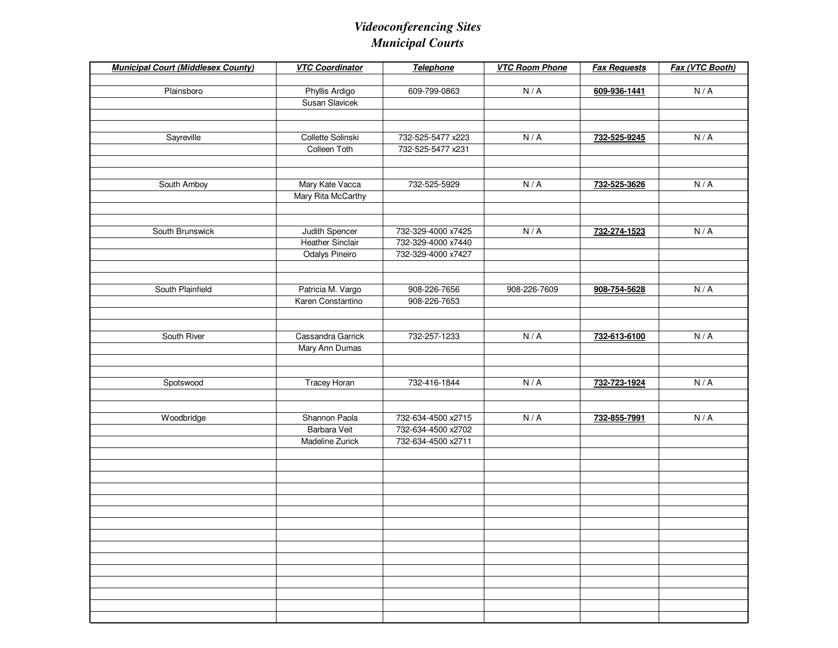| <b>Municipal Court (Middlesex County)</b> | <b>VTC Coordinator</b>                  | Telephone          | <b>VTC Room Phone</b> | <b>Fax Requests</b> | Fax (VTC Booth) |
|-------------------------------------------|-----------------------------------------|--------------------|-----------------------|---------------------|-----------------|
|                                           |                                         |                    |                       |                     |                 |
| Plainsboro                                | Phyllis Ardigo<br><b>Susan Slavicek</b> | 609-799-0863       | N/A                   | 609-936-1441        | N/A             |
|                                           |                                         |                    |                       |                     |                 |
|                                           |                                         |                    |                       |                     |                 |
| Sayreville                                | Collette Solinski                       | 732-525-5477 x223  | N/A                   | 732-525-9245        | N/A             |
|                                           | Colleen Toth                            | 732-525-5477 x231  |                       |                     |                 |
|                                           |                                         |                    |                       |                     |                 |
|                                           |                                         |                    |                       |                     |                 |
| South Amboy                               | Mary Kate Vacca                         | 732-525-5929       | N/A                   | 732-525-3626        | N/A             |
|                                           | Mary Rita McCarthy                      |                    |                       |                     |                 |
|                                           |                                         |                    |                       |                     |                 |
| South Brunswick                           | Judith Spencer                          | 732-329-4000 x7425 | N/A                   | 732-274-1523        | N/A             |
|                                           | <b>Heather Sinclair</b>                 | 732-329-4000 x7440 |                       |                     |                 |
|                                           | Odalys Pineiro                          | 732-329-4000 x7427 |                       |                     |                 |
|                                           |                                         |                    |                       |                     |                 |
|                                           |                                         |                    |                       |                     |                 |
| South Plainfield                          | Patricia M. Vargo                       | 908-226-7656       | 908-226-7609          | 908-754-5628        | N/A             |
|                                           | Karen Constantino                       | 908-226-7653       |                       |                     |                 |
|                                           |                                         |                    |                       |                     |                 |
|                                           | Cassandra Garrick                       |                    |                       |                     |                 |
| South River                               |                                         | 732-257-1233       | N/A                   | 732-613-6100        | N/A             |
|                                           | Mary Ann Dumas                          |                    |                       |                     |                 |
|                                           |                                         |                    |                       |                     |                 |
| Spotswood                                 | Tracey Horan                            | 732-416-1844       | N/A                   | 732-723-1924        | N/A             |
|                                           |                                         |                    |                       |                     |                 |
|                                           |                                         |                    |                       |                     |                 |
| Woodbridge                                | Shannon Paola                           | 732-634-4500 x2715 | N/A                   | 732-855-7991        | N/A             |
|                                           | Barbara Veit                            | 732-634-4500 x2702 |                       |                     |                 |
|                                           | Madeline Zurick                         | 732-634-4500 x2711 |                       |                     |                 |
|                                           |                                         |                    |                       |                     |                 |
|                                           |                                         |                    |                       |                     |                 |
|                                           |                                         |                    |                       |                     |                 |
|                                           |                                         |                    |                       |                     |                 |
|                                           |                                         |                    |                       |                     |                 |
|                                           |                                         |                    |                       |                     |                 |
|                                           |                                         |                    |                       |                     |                 |
|                                           |                                         |                    |                       |                     |                 |
|                                           |                                         |                    |                       |                     |                 |
|                                           |                                         |                    |                       |                     |                 |
|                                           |                                         |                    |                       |                     |                 |
|                                           |                                         |                    |                       |                     |                 |
|                                           |                                         |                    |                       |                     |                 |
|                                           |                                         |                    |                       |                     |                 |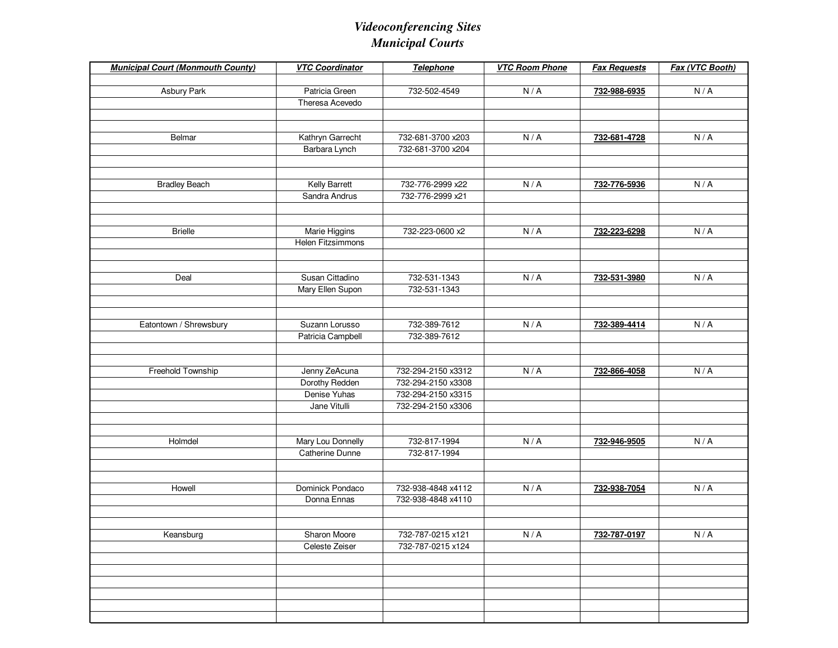| <b>Municipal Court (Monmouth County)</b> | <b>VTC Coordinator</b>              | Telephone          | <b>VTC Room Phone</b> | <b>Fax Requests</b> | Fax (VTC Booth)             |
|------------------------------------------|-------------------------------------|--------------------|-----------------------|---------------------|-----------------------------|
|                                          |                                     |                    |                       |                     |                             |
| <b>Asbury Park</b>                       | Patricia Green                      | 732-502-4549       | N/A                   | 732-988-6935        | N/A                         |
|                                          | Theresa Acevedo                     |                    |                       |                     |                             |
|                                          |                                     |                    |                       |                     |                             |
|                                          |                                     |                    |                       |                     |                             |
| Belmar                                   | Kathryn Garrecht                    | 732-681-3700 x203  | N/A                   | 732-681-4728        | N/A                         |
|                                          | Barbara Lynch                       | 732-681-3700 x204  |                       |                     |                             |
|                                          |                                     |                    |                       |                     |                             |
|                                          |                                     |                    |                       |                     |                             |
| <b>Bradley Beach</b>                     | <b>Kelly Barrett</b>                | 732-776-2999 x22   | N/A                   | 732-776-5936        | N/A                         |
|                                          | Sandra Andrus                       | 732-776-2999 x21   |                       |                     |                             |
|                                          |                                     |                    |                       |                     |                             |
|                                          |                                     |                    |                       |                     |                             |
| <b>Brielle</b>                           | Marie Higgins                       | 732-223-0600 x2    | N/A                   | 732-223-6298        | N/A                         |
|                                          | <b>Helen Fitzsimmons</b>            |                    |                       |                     |                             |
|                                          |                                     |                    |                       |                     |                             |
|                                          |                                     |                    |                       |                     |                             |
| Deal                                     | Susan Cittadino                     | 732-531-1343       | N/A                   | 732-531-3980        | N/A                         |
|                                          | Mary Ellen Supon                    | 732-531-1343       |                       |                     |                             |
|                                          |                                     |                    |                       |                     |                             |
| Eatontown / Shrewsbury                   |                                     | 732-389-7612       | N/A                   |                     | N/A                         |
|                                          | Suzann Lorusso<br>Patricia Campbell | 732-389-7612       |                       | 732-389-4414        |                             |
|                                          |                                     |                    |                       |                     |                             |
|                                          |                                     |                    |                       |                     |                             |
| Freehold Township                        | Jenny ZeAcuna                       | 732-294-2150 x3312 | N/A                   | 732-866-4058        | N/A                         |
|                                          | Dorothy Redden                      | 732-294-2150 x3308 |                       |                     |                             |
|                                          | Denise Yuhas                        | 732-294-2150 x3315 |                       |                     |                             |
|                                          | Jane Vitulli                        | 732-294-2150 x3306 |                       |                     |                             |
|                                          |                                     |                    |                       |                     |                             |
|                                          |                                     |                    |                       |                     |                             |
| Holmdel                                  | Mary Lou Donnelly                   | 732-817-1994       | N/A                   | 732-946-9505        | N/A                         |
|                                          | Catherine Dunne                     | 732-817-1994       |                       |                     |                             |
|                                          |                                     |                    |                       |                     |                             |
|                                          |                                     |                    |                       |                     |                             |
| Howell                                   | Dominick Pondaco                    | 732-938-4848 x4112 | N/A                   | 732-938-7054        | N/A                         |
|                                          | Donna Ennas                         | 732-938-4848 x4110 |                       |                     |                             |
|                                          |                                     |                    |                       |                     |                             |
|                                          |                                     |                    |                       |                     |                             |
| Keansburg                                | Sharon Moore                        | 732-787-0215 x121  | $N/A$                 | 732-787-0197        | $\mathsf{N}\,/\,\mathsf{A}$ |
|                                          | Celeste Zeiser                      | 732-787-0215 x124  |                       |                     |                             |
|                                          |                                     |                    |                       |                     |                             |
|                                          |                                     |                    |                       |                     |                             |
|                                          |                                     |                    |                       |                     |                             |
|                                          |                                     |                    |                       |                     |                             |
|                                          |                                     |                    |                       |                     |                             |
|                                          |                                     |                    |                       |                     |                             |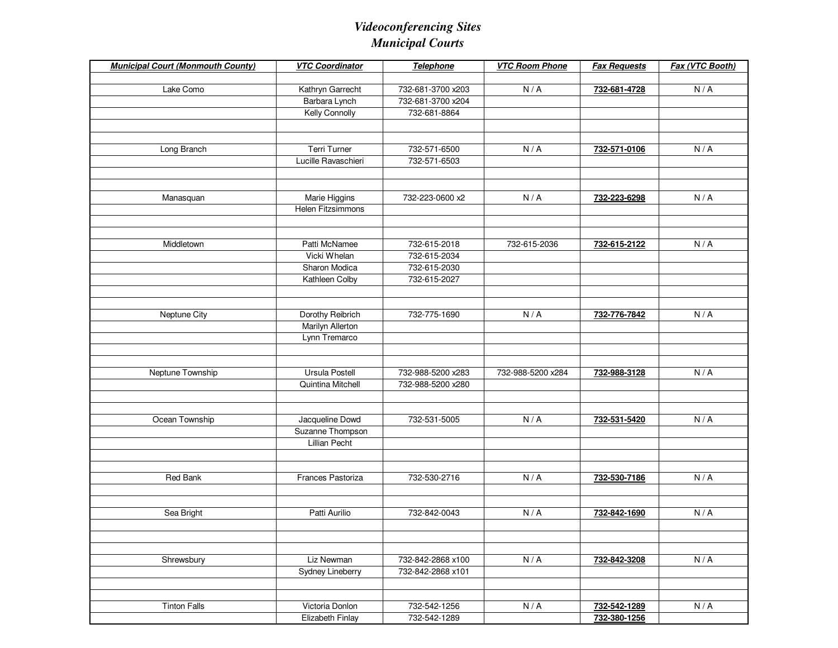| <b>Municipal Court (Monmouth County)</b> | <b>VTC Coordinator</b>  | <b>Telephone</b>                       | <b>VTC Room Phone</b> | <b>Fax Requests</b> | Fax (VTC Booth) |
|------------------------------------------|-------------------------|----------------------------------------|-----------------------|---------------------|-----------------|
|                                          |                         |                                        |                       |                     |                 |
| Lake Como                                | Kathryn Garrecht        | 732-681-3700 x203<br>732-681-3700 x204 | N/A                   | 732-681-4728        | N/A             |
|                                          | Barbara Lynch           |                                        |                       |                     |                 |
|                                          | Kelly Connolly          | 732-681-8864                           |                       |                     |                 |
|                                          |                         |                                        |                       |                     |                 |
| Long Branch                              | <b>Terri Turner</b>     | 732-571-6500                           | N/A                   | 732-571-0106        | N/A             |
|                                          | Lucille Ravaschieri     | 732-571-6503                           |                       |                     |                 |
|                                          |                         |                                        |                       |                     |                 |
| Manasquan                                | Marie Higgins           | 732-223-0600 x2                        | N/A                   | 732-223-6298        | N/A             |
|                                          | Helen Fitzsimmons       |                                        |                       |                     |                 |
|                                          |                         |                                        |                       |                     |                 |
| Middletown                               | Patti McNamee           | 732-615-2018                           | 732-615-2036          | 732-615-2122        | N/A             |
|                                          | Vicki Whelan            | 732-615-2034                           |                       |                     |                 |
|                                          | Sharon Modica           | 732-615-2030                           |                       |                     |                 |
|                                          | Kathleen Colby          | 732-615-2027                           |                       |                     |                 |
|                                          |                         |                                        |                       |                     |                 |
| Neptune City                             | Dorothy Reibrich        | 732-775-1690                           | N/A                   | 732-776-7842        | N/A             |
|                                          | <b>Marilyn Allerton</b> |                                        |                       |                     |                 |
|                                          | Lynn Tremarco           |                                        |                       |                     |                 |
|                                          |                         |                                        |                       |                     |                 |
|                                          |                         |                                        |                       |                     |                 |
| Neptune Township                         | Ursula Postell          | 732-988-5200 x283                      | 732-988-5200 x284     | 732-988-3128        | N/A             |
|                                          | Quintina Mitchell       | 732-988-5200 x280                      |                       |                     |                 |
|                                          |                         |                                        |                       |                     |                 |
| Ocean Township                           | Jacqueline Dowd         | 732-531-5005                           | N/A                   | 732-531-5420        | N/A             |
|                                          | Suzanne Thompson        |                                        |                       |                     |                 |
|                                          | Lillian Pecht           |                                        |                       |                     |                 |
|                                          |                         |                                        |                       |                     |                 |
| <b>Red Bank</b>                          | Frances Pastoriza       | 732-530-2716                           | N/A                   | 732-530-7186        | N/A             |
|                                          |                         |                                        |                       |                     |                 |
|                                          |                         |                                        |                       |                     |                 |
| Sea Bright                               | Patti Aurilio           | 732-842-0043                           | N/A                   | 732-842-1690        | N/A             |
|                                          |                         |                                        |                       |                     |                 |
|                                          |                         |                                        |                       |                     |                 |
| Shrewsbury                               | Liz Newman              | 732-842-2868 x100                      | N/A                   | 732-842-3208        | N/A             |
|                                          | Sydney Lineberry        | 732-842-2868 x101                      |                       |                     |                 |
|                                          |                         |                                        |                       |                     |                 |
|                                          |                         |                                        |                       |                     |                 |
| <b>Tinton Falls</b>                      | Victoria Donlon         | 732-542-1256                           | N/A                   | 732-542-1289        | N/A             |
|                                          | Elizabeth Finlay        | 732-542-1289                           |                       | 732-380-1256        |                 |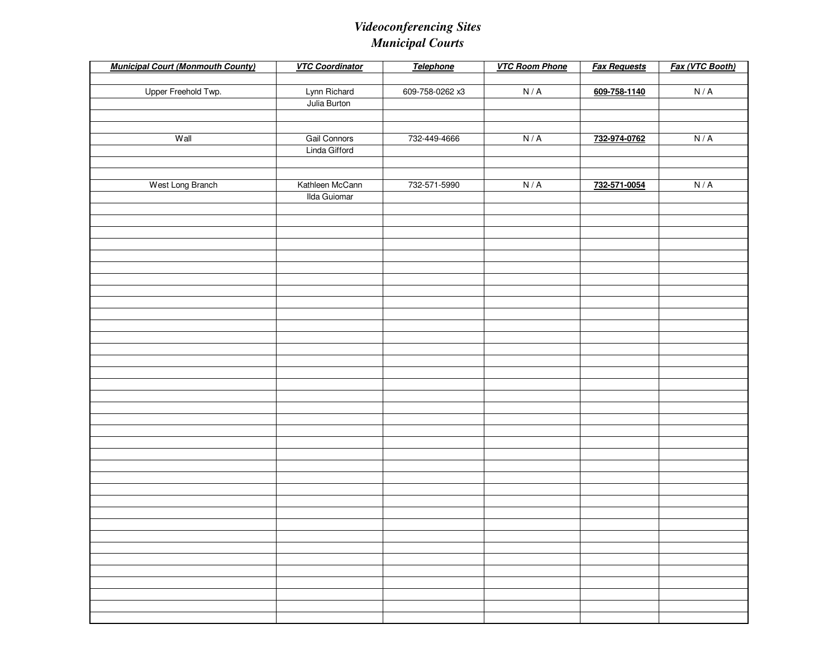| <b>Municipal Court (Monmouth County)</b> | <b>VTC Coordinator</b> | <b>Telephone</b> | <b>VTC Room Phone</b> | <b>Fax Requests</b> | Fax (VTC Booth)             |
|------------------------------------------|------------------------|------------------|-----------------------|---------------------|-----------------------------|
|                                          |                        |                  |                       |                     |                             |
| Upper Freehold Twp.                      | Lynn Richard           | 609-758-0262 x3  | N/A                   | 609-758-1140        | $\mathsf{N}\,/\,\mathsf{A}$ |
|                                          | Julia Burton           |                  |                       |                     |                             |
|                                          |                        |                  |                       |                     |                             |
|                                          |                        |                  |                       |                     |                             |
| Wall                                     | Gail Connors           | 732-449-4666     | N/A                   | 732-974-0762        | N/A                         |
|                                          | Linda Gifford          |                  |                       |                     |                             |
|                                          |                        |                  |                       |                     |                             |
| West Long Branch                         | Kathleen McCann        | 732-571-5990     | N/A                   | 732-571-0054        | N/A                         |
|                                          | <b>Ilda Guiomar</b>    |                  |                       |                     |                             |
|                                          |                        |                  |                       |                     |                             |
|                                          |                        |                  |                       |                     |                             |
|                                          |                        |                  |                       |                     |                             |
|                                          |                        |                  |                       |                     |                             |
|                                          |                        |                  |                       |                     |                             |
|                                          |                        |                  |                       |                     |                             |
|                                          |                        |                  |                       |                     |                             |
|                                          |                        |                  |                       |                     |                             |
|                                          |                        |                  |                       |                     |                             |
|                                          |                        |                  |                       |                     |                             |
|                                          |                        |                  |                       |                     |                             |
|                                          |                        |                  |                       |                     |                             |
|                                          |                        |                  |                       |                     |                             |
|                                          |                        |                  |                       |                     |                             |
|                                          |                        |                  |                       |                     |                             |
|                                          |                        |                  |                       |                     |                             |
|                                          |                        |                  |                       |                     |                             |
|                                          |                        |                  |                       |                     |                             |
|                                          |                        |                  |                       |                     |                             |
|                                          |                        |                  |                       |                     |                             |
|                                          |                        |                  |                       |                     |                             |
|                                          |                        |                  |                       |                     |                             |
|                                          |                        |                  |                       |                     |                             |
|                                          |                        |                  |                       |                     |                             |
|                                          |                        |                  |                       |                     |                             |
|                                          |                        |                  |                       |                     |                             |
|                                          |                        |                  |                       |                     |                             |
|                                          |                        |                  |                       |                     |                             |
|                                          |                        |                  |                       |                     |                             |
|                                          |                        |                  |                       |                     |                             |
|                                          |                        |                  |                       |                     |                             |
|                                          |                        |                  |                       |                     |                             |
|                                          |                        |                  |                       |                     |                             |
|                                          |                        |                  |                       |                     |                             |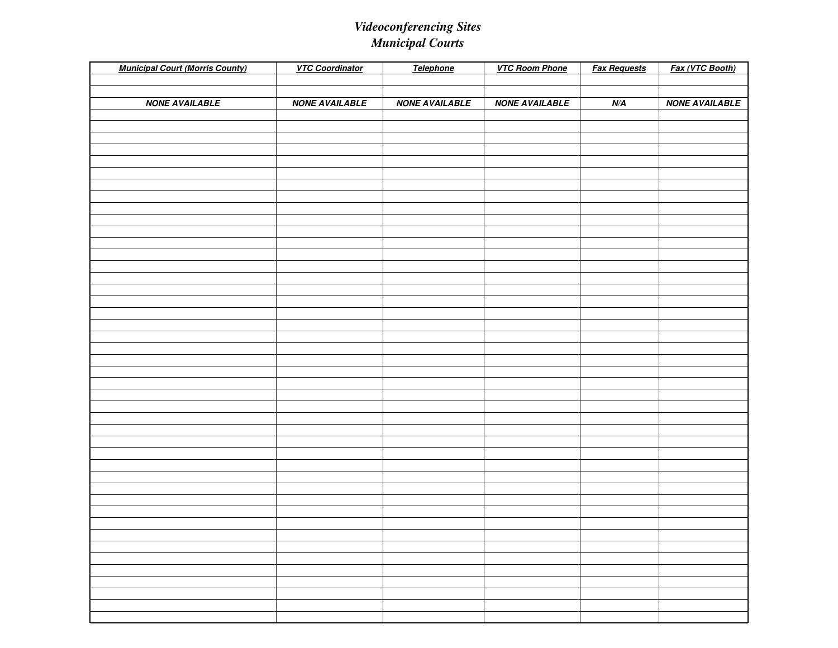| <b>Municipal Court (Morris County)</b> | <b>VTC Coordinator</b> | Telephone             | <b>VTC Room Phone</b> | <b>Fax Requests</b> | Fax (VTC Booth)       |
|----------------------------------------|------------------------|-----------------------|-----------------------|---------------------|-----------------------|
|                                        |                        |                       |                       |                     |                       |
|                                        |                        |                       |                       |                     |                       |
| <b>NONE AVAILABLE</b>                  | <b>NONE AVAILABLE</b>  | <b>NONE AVAILABLE</b> | <b>NONE AVAILABLE</b> | N/A                 | <b>NONE AVAILABLE</b> |
|                                        |                        |                       |                       |                     |                       |
|                                        |                        |                       |                       |                     |                       |
|                                        |                        |                       |                       |                     |                       |
|                                        |                        |                       |                       |                     |                       |
|                                        |                        |                       |                       |                     |                       |
|                                        |                        |                       |                       |                     |                       |
|                                        |                        |                       |                       |                     |                       |
|                                        |                        |                       |                       |                     |                       |
|                                        |                        |                       |                       |                     |                       |
|                                        |                        |                       |                       |                     |                       |
|                                        |                        |                       |                       |                     |                       |
|                                        |                        |                       |                       |                     |                       |
|                                        |                        |                       |                       |                     |                       |
|                                        |                        |                       |                       |                     |                       |
|                                        |                        |                       |                       |                     |                       |
|                                        |                        |                       |                       |                     |                       |
|                                        |                        |                       |                       |                     |                       |
|                                        |                        |                       |                       |                     |                       |
|                                        |                        |                       |                       |                     |                       |
|                                        |                        |                       |                       |                     |                       |
|                                        |                        |                       |                       |                     |                       |
|                                        |                        |                       |                       |                     |                       |
|                                        |                        |                       |                       |                     |                       |
|                                        |                        |                       |                       |                     |                       |
|                                        |                        |                       |                       |                     |                       |
|                                        |                        |                       |                       |                     |                       |
|                                        |                        |                       |                       |                     |                       |
|                                        |                        |                       |                       |                     |                       |
|                                        |                        |                       |                       |                     |                       |
|                                        |                        |                       |                       |                     |                       |
|                                        |                        |                       |                       |                     |                       |
|                                        |                        |                       |                       |                     |                       |
|                                        |                        |                       |                       |                     |                       |
|                                        |                        |                       |                       |                     |                       |
|                                        |                        |                       |                       |                     |                       |
|                                        |                        |                       |                       |                     |                       |
|                                        |                        |                       |                       |                     |                       |
|                                        |                        |                       |                       |                     |                       |
|                                        |                        |                       |                       |                     |                       |
|                                        |                        |                       |                       |                     |                       |
|                                        |                        |                       |                       |                     |                       |
|                                        |                        |                       |                       |                     |                       |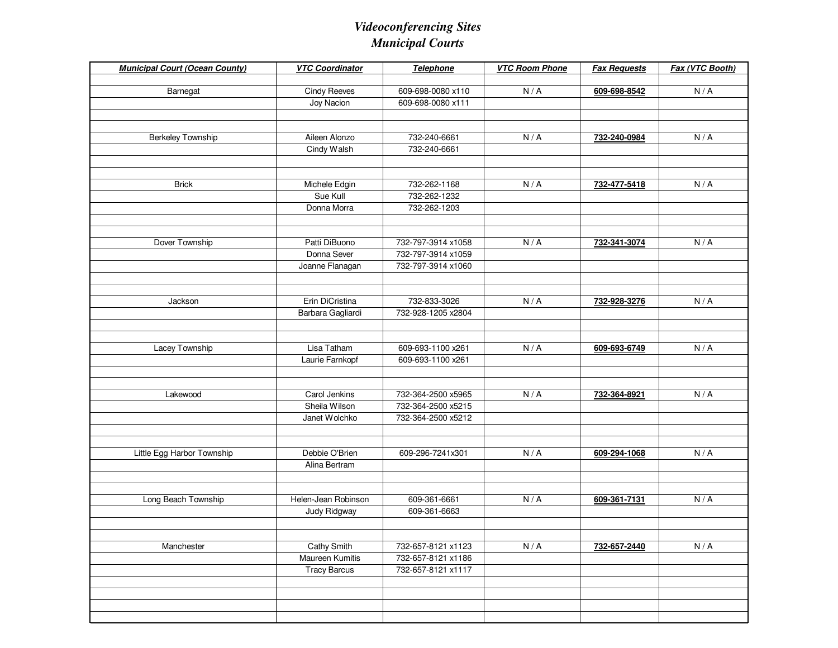| <b>Municipal Court (Ocean County)</b> | <b>VTC Coordinator</b> | Telephone          | <b>VTC Room Phone</b> | <b>Fax Requests</b> | Fax (VTC Booth) |
|---------------------------------------|------------------------|--------------------|-----------------------|---------------------|-----------------|
| Barnegat                              | <b>Cindy Reeves</b>    | 609-698-0080 x110  | N/A                   | 609-698-8542        | N/A             |
|                                       | Joy Nacion             | 609-698-0080 x111  |                       |                     |                 |
|                                       |                        |                    |                       |                     |                 |
|                                       |                        |                    |                       |                     |                 |
| <b>Berkeley Township</b>              | Aileen Alonzo          | 732-240-6661       | N/A                   | 732-240-0984        | N/A             |
|                                       | Cindy Walsh            | 732-240-6661       |                       |                     |                 |
|                                       |                        |                    |                       |                     |                 |
|                                       |                        |                    |                       |                     |                 |
| <b>Brick</b>                          | Michele Edgin          | 732-262-1168       | N/A                   | 732-477-5418        | N/A             |
|                                       | Sue Kull               | 732-262-1232       |                       |                     |                 |
|                                       | Donna Morra            | 732-262-1203       |                       |                     |                 |
|                                       |                        |                    |                       |                     |                 |
|                                       |                        |                    |                       |                     |                 |
| Dover Township                        | Patti DiBuono          | 732-797-3914 x1058 | N/A                   | 732-341-3074        | N/A             |
|                                       | Donna Sever            | 732-797-3914 x1059 |                       |                     |                 |
|                                       | Joanne Flanagan        | 732-797-3914 x1060 |                       |                     |                 |
|                                       |                        |                    |                       |                     |                 |
| Jackson                               | Erin DiCristina        | 732-833-3026       | N/A                   | 732-928-3276        | N/A             |
|                                       | Barbara Gagliardi      | 732-928-1205 x2804 |                       |                     |                 |
|                                       |                        |                    |                       |                     |                 |
|                                       |                        |                    |                       |                     |                 |
| Lacey Township                        | Lisa Tatham            | 609-693-1100 x261  | N/A                   | 609-693-6749        | N/A             |
|                                       | Laurie Farnkopf        | 609-693-1100 x261  |                       |                     |                 |
|                                       |                        |                    |                       |                     |                 |
|                                       |                        |                    |                       |                     |                 |
| Lakewood                              | Carol Jenkins          | 732-364-2500 x5965 | N/A                   | 732-364-8921        | N/A             |
|                                       | Sheila Wilson          | 732-364-2500 x5215 |                       |                     |                 |
|                                       | Janet Wolchko          | 732-364-2500 x5212 |                       |                     |                 |
|                                       |                        |                    |                       |                     |                 |
|                                       |                        |                    |                       |                     |                 |
| Little Egg Harbor Township            | Debbie O'Brien         | 609-296-7241x301   | N/A                   | 609-294-1068        | N/A             |
|                                       | Alina Bertram          |                    |                       |                     |                 |
|                                       |                        |                    |                       |                     |                 |
| Long Beach Township                   | Helen-Jean Robinson    | 609-361-6661       | N/A                   | 609-361-7131        | N/A             |
|                                       | Judy Ridgway           | 609-361-6663       |                       |                     |                 |
|                                       |                        |                    |                       |                     |                 |
|                                       |                        |                    |                       |                     |                 |
| Manchester                            | Cathy Smith            | 732-657-8121 x1123 | N/A                   | 732-657-2440        | N/A             |
|                                       | Maureen Kumitis        | 732-657-8121 x1186 |                       |                     |                 |
|                                       | <b>Tracy Barcus</b>    | 732-657-8121 x1117 |                       |                     |                 |
|                                       |                        |                    |                       |                     |                 |
|                                       |                        |                    |                       |                     |                 |
|                                       |                        |                    |                       |                     |                 |
|                                       |                        |                    |                       |                     |                 |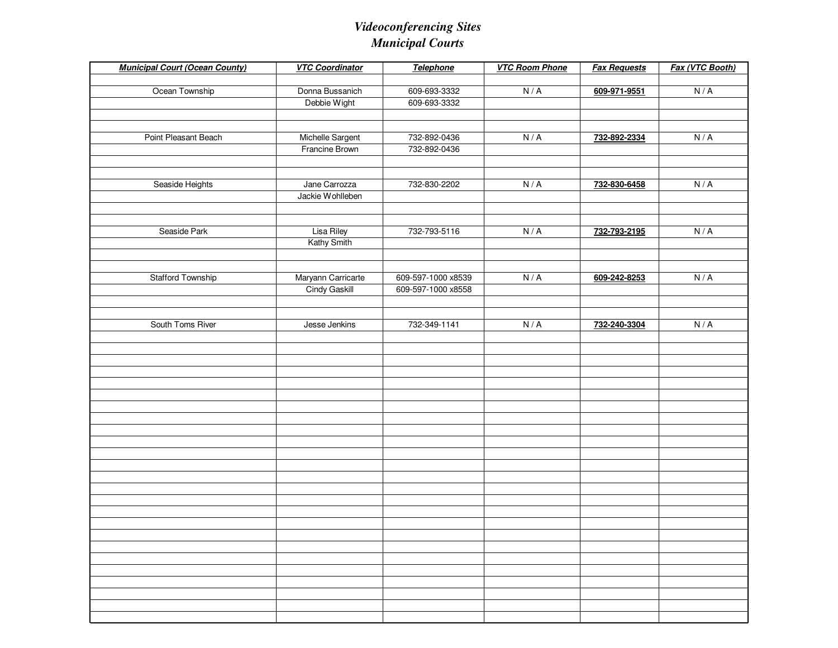| <b>Municipal Court (Ocean County)</b> | <b>VTC Coordinator</b> | <b>Telephone</b>   | <b>VTC Room Phone</b> | <b>Fax Requests</b> | Fax (VTC Booth) |
|---------------------------------------|------------------------|--------------------|-----------------------|---------------------|-----------------|
|                                       |                        |                    |                       |                     |                 |
| Ocean Township                        | Donna Bussanich        | 609-693-3332       | N/A                   | 609-971-9551        | N/A             |
|                                       | Debbie Wight           | 609-693-3332       |                       |                     |                 |
|                                       |                        |                    |                       |                     |                 |
|                                       |                        |                    |                       |                     |                 |
| Point Pleasant Beach                  | Michelle Sargent       | 732-892-0436       | N/A                   | 732-892-2334        | N/A             |
|                                       | Francine Brown         | 732-892-0436       |                       |                     |                 |
|                                       |                        |                    |                       |                     |                 |
|                                       |                        |                    |                       |                     |                 |
| Seaside Heights                       | Jane Carrozza          | 732-830-2202       | N/A                   | 732-830-6458        | N/A             |
|                                       | Jackie Wohlleben       |                    |                       |                     |                 |
|                                       |                        |                    |                       |                     |                 |
| Seaside Park                          | <b>Lisa Riley</b>      | 732-793-5116       | N/A                   | 732-793-2195        | N/A             |
|                                       | Kathy Smith            |                    |                       |                     |                 |
|                                       |                        |                    |                       |                     |                 |
|                                       |                        |                    |                       |                     |                 |
| <b>Stafford Township</b>              | Maryann Carricarte     | 609-597-1000 x8539 | N/A                   | 609-242-8253        | N/A             |
|                                       | Cindy Gaskill          | 609-597-1000 x8558 |                       |                     |                 |
|                                       |                        |                    |                       |                     |                 |
|                                       |                        |                    |                       |                     |                 |
| South Toms River                      | Jesse Jenkins          | 732-349-1141       | N/A                   | 732-240-3304        | N/A             |
|                                       |                        |                    |                       |                     |                 |
|                                       |                        |                    |                       |                     |                 |
|                                       |                        |                    |                       |                     |                 |
|                                       |                        |                    |                       |                     |                 |
|                                       |                        |                    |                       |                     |                 |
|                                       |                        |                    |                       |                     |                 |
|                                       |                        |                    |                       |                     |                 |
|                                       |                        |                    |                       |                     |                 |
|                                       |                        |                    |                       |                     |                 |
|                                       |                        |                    |                       |                     |                 |
|                                       |                        |                    |                       |                     |                 |
|                                       |                        |                    |                       |                     |                 |
|                                       |                        |                    |                       |                     |                 |
|                                       |                        |                    |                       |                     |                 |
|                                       |                        |                    |                       |                     |                 |
|                                       |                        |                    |                       |                     |                 |
|                                       |                        |                    |                       |                     |                 |
|                                       |                        |                    |                       |                     |                 |
|                                       |                        |                    |                       |                     |                 |
|                                       |                        |                    |                       |                     |                 |
|                                       |                        |                    |                       |                     |                 |
|                                       |                        |                    |                       |                     |                 |
|                                       |                        |                    |                       |                     |                 |
|                                       |                        |                    |                       |                     |                 |
|                                       |                        |                    |                       |                     |                 |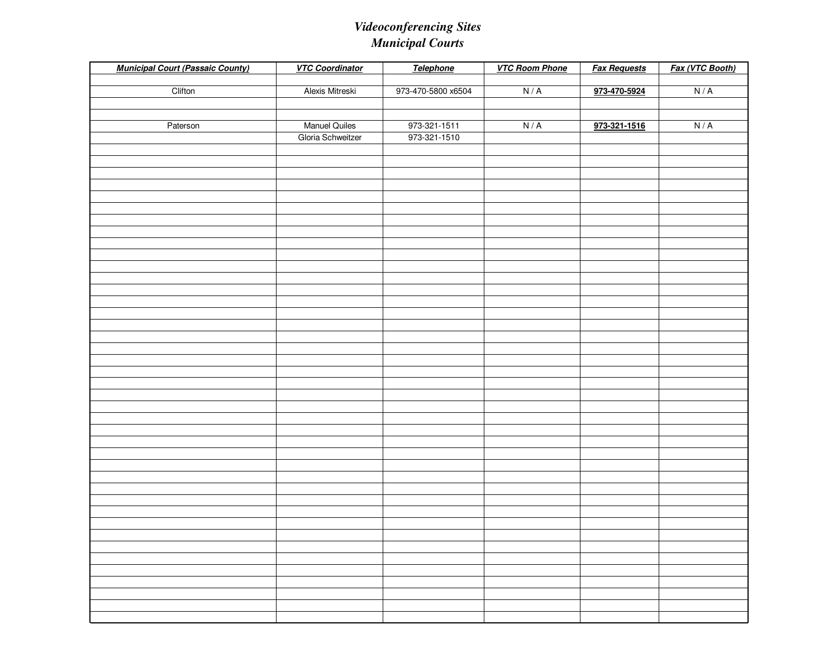| <b>Municipal Court (Passaic County)</b> | <b>VTC Coordinator</b> | Telephone          | <b>VTC Room Phone</b> | <b>Fax Requests</b> | Fax (VTC Booth) |
|-----------------------------------------|------------------------|--------------------|-----------------------|---------------------|-----------------|
| Clifton                                 | Alexis Mitreski        | 973-470-5800 x6504 | N/A                   | 973-470-5924        | N/A             |
|                                         |                        |                    |                       |                     |                 |
|                                         |                        |                    |                       |                     |                 |
| Paterson                                | <b>Manuel Quiles</b>   | 973-321-1511       | N/A                   | 973-321-1516        | N/A             |
|                                         | Gloria Schweitzer      | 973-321-1510       |                       |                     |                 |
|                                         |                        |                    |                       |                     |                 |
|                                         |                        |                    |                       |                     |                 |
|                                         |                        |                    |                       |                     |                 |
|                                         |                        |                    |                       |                     |                 |
|                                         |                        |                    |                       |                     |                 |
|                                         |                        |                    |                       |                     |                 |
|                                         |                        |                    |                       |                     |                 |
|                                         |                        |                    |                       |                     |                 |
|                                         |                        |                    |                       |                     |                 |
|                                         |                        |                    |                       |                     |                 |
|                                         |                        |                    |                       |                     |                 |
|                                         |                        |                    |                       |                     |                 |
|                                         |                        |                    |                       |                     |                 |
|                                         |                        |                    |                       |                     |                 |
|                                         |                        |                    |                       |                     |                 |
|                                         |                        |                    |                       |                     |                 |
|                                         |                        |                    |                       |                     |                 |
|                                         |                        |                    |                       |                     |                 |
|                                         |                        |                    |                       |                     |                 |
|                                         |                        |                    |                       |                     |                 |
|                                         |                        |                    |                       |                     |                 |
|                                         |                        |                    |                       |                     |                 |
|                                         |                        |                    |                       |                     |                 |
|                                         |                        |                    |                       |                     |                 |
|                                         |                        |                    |                       |                     |                 |
|                                         |                        |                    |                       |                     |                 |
|                                         |                        |                    |                       |                     |                 |
|                                         |                        |                    |                       |                     |                 |
|                                         |                        |                    |                       |                     |                 |
|                                         |                        |                    |                       |                     |                 |
|                                         |                        |                    |                       |                     |                 |
|                                         |                        |                    |                       |                     |                 |
|                                         |                        |                    |                       |                     |                 |
|                                         |                        |                    |                       |                     |                 |
|                                         |                        |                    |                       |                     |                 |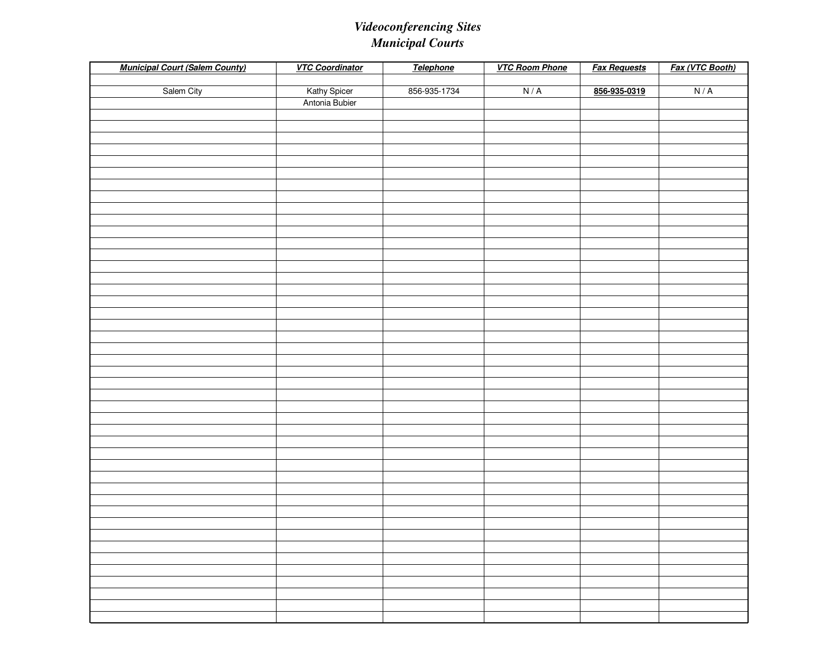| <b>Municipal Court (Salem County)</b> | <b>VTC Coordinator</b> | Telephone    | <b>VTC Room Phone</b> | <b>Fax Requests</b> | Fax (VTC Booth) |
|---------------------------------------|------------------------|--------------|-----------------------|---------------------|-----------------|
|                                       |                        |              |                       |                     |                 |
| Salem City                            | Kathy Spicer           | 856-935-1734 | N/A                   | 856-935-0319        | N/A             |
|                                       | Antonia Bubier         |              |                       |                     |                 |
|                                       |                        |              |                       |                     |                 |
|                                       |                        |              |                       |                     |                 |
|                                       |                        |              |                       |                     |                 |
|                                       |                        |              |                       |                     |                 |
|                                       |                        |              |                       |                     |                 |
|                                       |                        |              |                       |                     |                 |
|                                       |                        |              |                       |                     |                 |
|                                       |                        |              |                       |                     |                 |
|                                       |                        |              |                       |                     |                 |
|                                       |                        |              |                       |                     |                 |
|                                       |                        |              |                       |                     |                 |
|                                       |                        |              |                       |                     |                 |
|                                       |                        |              |                       |                     |                 |
|                                       |                        |              |                       |                     |                 |
|                                       |                        |              |                       |                     |                 |
|                                       |                        |              |                       |                     |                 |
|                                       |                        |              |                       |                     |                 |
|                                       |                        |              |                       |                     |                 |
|                                       |                        |              |                       |                     |                 |
|                                       |                        |              |                       |                     |                 |
|                                       |                        |              |                       |                     |                 |
|                                       |                        |              |                       |                     |                 |
|                                       |                        |              |                       |                     |                 |
|                                       |                        |              |                       |                     |                 |
|                                       |                        |              |                       |                     |                 |
|                                       |                        |              |                       |                     |                 |
|                                       |                        |              |                       |                     |                 |
|                                       |                        |              |                       |                     |                 |
|                                       |                        |              |                       |                     |                 |
|                                       |                        |              |                       |                     |                 |
|                                       |                        |              |                       |                     |                 |
|                                       |                        |              |                       |                     |                 |
|                                       |                        |              |                       |                     |                 |
|                                       |                        |              |                       |                     |                 |
|                                       |                        |              |                       |                     |                 |
|                                       |                        |              |                       |                     |                 |
|                                       |                        |              |                       |                     |                 |
|                                       |                        |              |                       |                     |                 |
|                                       |                        |              |                       |                     |                 |
|                                       |                        |              |                       |                     |                 |
|                                       |                        |              |                       |                     |                 |
|                                       |                        |              |                       |                     |                 |
|                                       |                        |              |                       |                     |                 |
|                                       |                        |              |                       |                     |                 |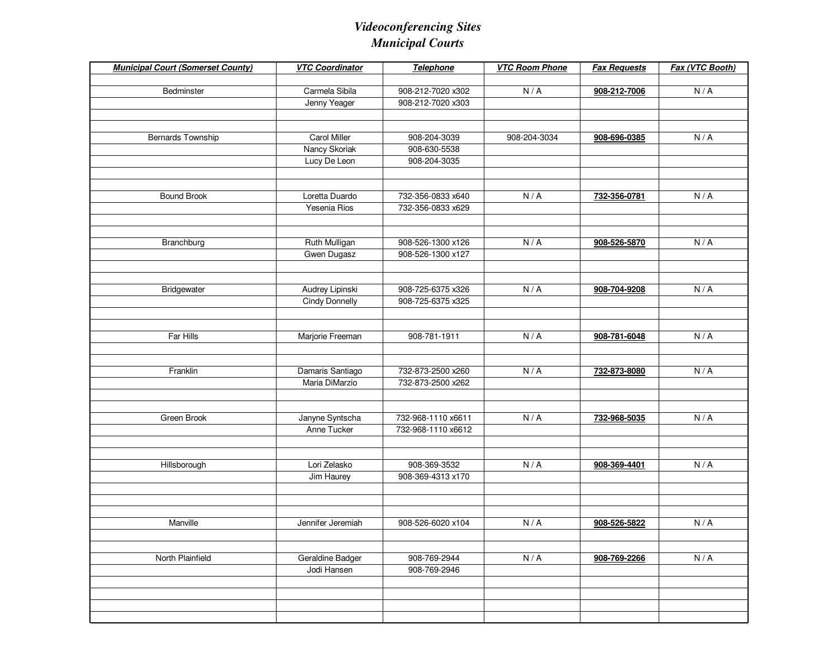| <b>Municipal Court (Somerset County)</b> | <b>VTC Coordinator</b> | Telephone          | <b>VTC Room Phone</b> | <b>Fax Requests</b> | Fax (VTC Booth) |
|------------------------------------------|------------------------|--------------------|-----------------------|---------------------|-----------------|
| Bedminster                               | Carmela Sibila         | 908-212-7020 x302  | N/A                   | 908-212-7006        | N/A             |
|                                          | Jenny Yeager           | 908-212-7020 x303  |                       |                     |                 |
|                                          |                        |                    |                       |                     |                 |
|                                          |                        |                    |                       |                     |                 |
| Bernards Township                        | <b>Carol Miller</b>    | 908-204-3039       | 908-204-3034          | 908-696-0385        | N/A             |
|                                          | Nancy Skoriak          | 908-630-5538       |                       |                     |                 |
|                                          | Lucy De Leon           | 908-204-3035       |                       |                     |                 |
|                                          |                        |                    |                       |                     |                 |
|                                          |                        |                    |                       |                     |                 |
| <b>Bound Brook</b>                       | Loretta Duardo         | 732-356-0833 x640  | N/A                   | 732-356-0781        | N/A             |
|                                          | Yesenia Rios           | 732-356-0833 x629  |                       |                     |                 |
|                                          |                        |                    |                       |                     |                 |
| Branchburg                               | Ruth Mulligan          | 908-526-1300 x126  | N/A                   | 908-526-5870        | N/A             |
|                                          | Gwen Dugasz            | 908-526-1300 x127  |                       |                     |                 |
|                                          |                        |                    |                       |                     |                 |
|                                          |                        |                    |                       |                     |                 |
| Bridgewater                              | Audrey Lipinski        | 908-725-6375 x326  | N/A                   | 908-704-9208        | N/A             |
|                                          | <b>Cindy Donnelly</b>  | 908-725-6375 x325  |                       |                     |                 |
|                                          |                        |                    |                       |                     |                 |
|                                          |                        |                    |                       |                     |                 |
| Far Hills                                | Marjorie Freeman       | 908-781-1911       | N/A                   | 908-781-6048        | N/A             |
|                                          |                        |                    |                       |                     |                 |
| Franklin                                 | Damaris Santiago       | 732-873-2500 x260  | N/A                   | 732-873-8080        | N/A             |
|                                          | Maria DiMarzio         | 732-873-2500 x262  |                       |                     |                 |
|                                          |                        |                    |                       |                     |                 |
|                                          |                        |                    |                       |                     |                 |
| Green Brook                              | Janyne Syntscha        | 732-968-1110 x6611 | N/A                   | 732-968-5035        | N/A             |
|                                          | Anne Tucker            | 732-968-1110 x6612 |                       |                     |                 |
|                                          |                        |                    |                       |                     |                 |
|                                          |                        |                    |                       |                     |                 |
| Hillsborough                             | Lori Zelasko           | 908-369-3532       | N/A                   | 908-369-4401        | N/A             |
|                                          | Jim Haurey             | 908-369-4313 x170  |                       |                     |                 |
|                                          |                        |                    |                       |                     |                 |
|                                          |                        |                    |                       |                     |                 |
| Manville                                 | Jennifer Jeremiah      | 908-526-6020 x104  | N/A                   | 908-526-5822        | N/A             |
|                                          |                        |                    |                       |                     |                 |
|                                          |                        |                    |                       |                     |                 |
| North Plainfield                         | Geraldine Badger       | 908-769-2944       | N/A                   | 908-769-2266        | N/A             |
|                                          | Jodi Hansen            | 908-769-2946       |                       |                     |                 |
|                                          |                        |                    |                       |                     |                 |
|                                          |                        |                    |                       |                     |                 |
|                                          |                        |                    |                       |                     |                 |
|                                          |                        |                    |                       |                     |                 |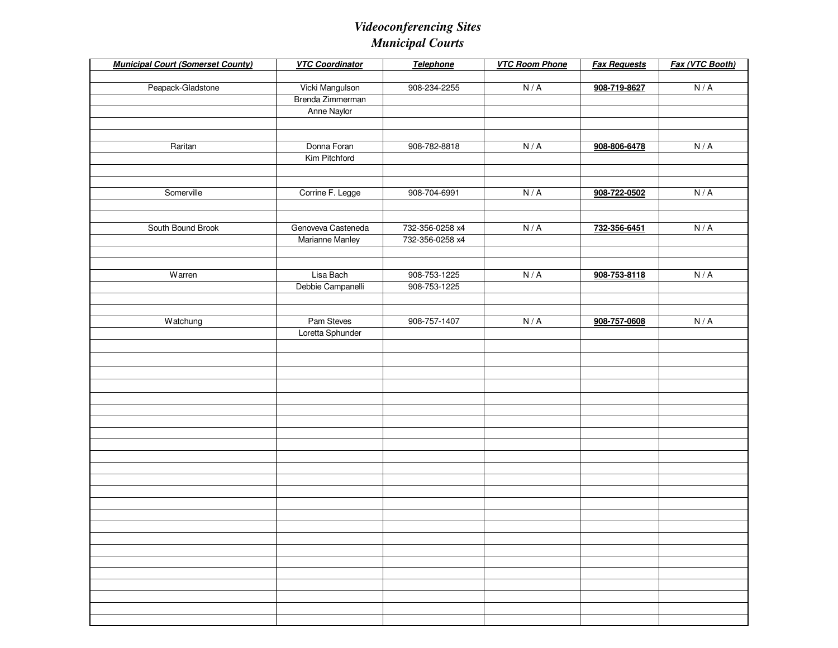| <b>Municipal Court (Somerset County)</b> | <b>VTC Coordinator</b> | <b>Telephone</b> | <b>VTC Room Phone</b> | <b>Fax Requests</b> | Fax (VTC Booth) |
|------------------------------------------|------------------------|------------------|-----------------------|---------------------|-----------------|
| Peapack-Gladstone                        | Vicki Mangulson        | 908-234-2255     | N/A                   | 908-719-8627        | N/A             |
|                                          | Brenda Zimmerman       |                  |                       |                     |                 |
|                                          | Anne Naylor            |                  |                       |                     |                 |
|                                          |                        |                  |                       |                     |                 |
|                                          |                        |                  |                       |                     |                 |
| Raritan                                  | Donna Foran            | 908-782-8818     | N/A                   | 908-806-6478        | N/A             |
|                                          | Kim Pitchford          |                  |                       |                     |                 |
|                                          |                        |                  |                       |                     |                 |
| Somerville                               | Corrine F. Legge       | 908-704-6991     | N/A                   | 908-722-0502        | N/A             |
|                                          |                        |                  |                       |                     |                 |
|                                          |                        |                  |                       |                     |                 |
| South Bound Brook                        | Genoveva Casteneda     | 732-356-0258 x4  | N/A                   | 732-356-6451        | N/A             |
|                                          | Marianne Manley        | 732-356-0258 x4  |                       |                     |                 |
|                                          |                        |                  |                       |                     |                 |
|                                          |                        |                  |                       |                     |                 |
| Warren                                   | Lisa Bach              | 908-753-1225     | N/A                   | 908-753-8118        | N/A             |
|                                          | Debbie Campanelli      | 908-753-1225     |                       |                     |                 |
|                                          |                        |                  |                       |                     |                 |
| Watchung                                 | Pam Steves             | 908-757-1407     | N/A                   | 908-757-0608        | N/A             |
|                                          | Loretta Sphunder       |                  |                       |                     |                 |
|                                          |                        |                  |                       |                     |                 |
|                                          |                        |                  |                       |                     |                 |
|                                          |                        |                  |                       |                     |                 |
|                                          |                        |                  |                       |                     |                 |
|                                          |                        |                  |                       |                     |                 |
|                                          |                        |                  |                       |                     |                 |
|                                          |                        |                  |                       |                     |                 |
|                                          |                        |                  |                       |                     |                 |
|                                          |                        |                  |                       |                     |                 |
|                                          |                        |                  |                       |                     |                 |
|                                          |                        |                  |                       |                     |                 |
|                                          |                        |                  |                       |                     |                 |
|                                          |                        |                  |                       |                     |                 |
|                                          |                        |                  |                       |                     |                 |
|                                          |                        |                  |                       |                     |                 |
|                                          |                        |                  |                       |                     |                 |
|                                          |                        |                  |                       |                     |                 |
|                                          |                        |                  |                       |                     |                 |
|                                          |                        |                  |                       |                     |                 |
|                                          |                        |                  |                       |                     |                 |
|                                          |                        |                  |                       |                     |                 |
|                                          |                        |                  |                       |                     |                 |
|                                          |                        |                  |                       |                     |                 |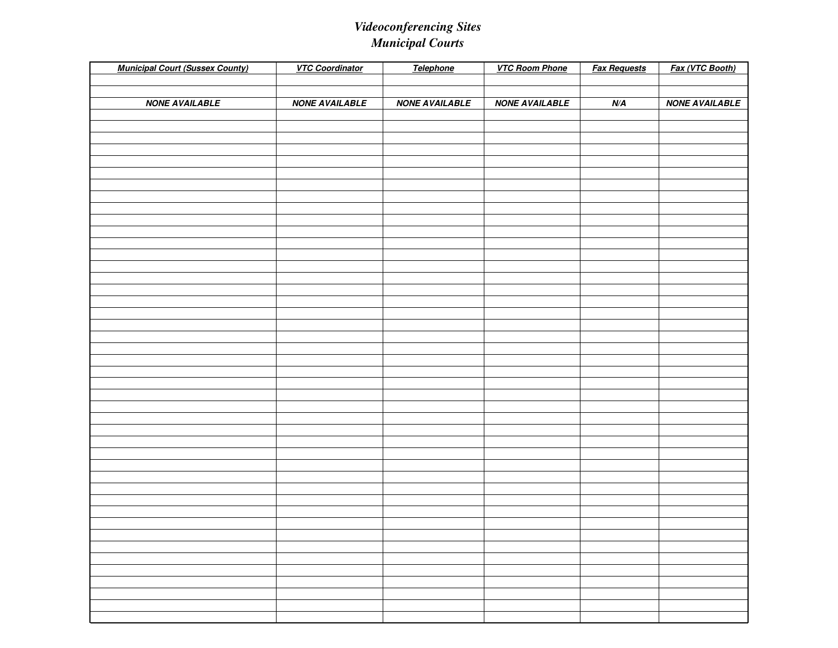| <b>Municipal Court (Sussex County)</b> | <b>VTC Coordinator</b> | Telephone             | <b>VTC Room Phone</b> | <b>Fax Requests</b> | Fax (VTC Booth)       |
|----------------------------------------|------------------------|-----------------------|-----------------------|---------------------|-----------------------|
|                                        |                        |                       |                       |                     |                       |
|                                        |                        |                       |                       |                     |                       |
| <b>NONE AVAILABLE</b>                  | <b>NONE AVAILABLE</b>  | <b>NONE AVAILABLE</b> | <b>NONE AVAILABLE</b> | N/A                 | <b>NONE AVAILABLE</b> |
|                                        |                        |                       |                       |                     |                       |
|                                        |                        |                       |                       |                     |                       |
|                                        |                        |                       |                       |                     |                       |
|                                        |                        |                       |                       |                     |                       |
|                                        |                        |                       |                       |                     |                       |
|                                        |                        |                       |                       |                     |                       |
|                                        |                        |                       |                       |                     |                       |
|                                        |                        |                       |                       |                     |                       |
|                                        |                        |                       |                       |                     |                       |
|                                        |                        |                       |                       |                     |                       |
|                                        |                        |                       |                       |                     |                       |
|                                        |                        |                       |                       |                     |                       |
|                                        |                        |                       |                       |                     |                       |
|                                        |                        |                       |                       |                     |                       |
|                                        |                        |                       |                       |                     |                       |
|                                        |                        |                       |                       |                     |                       |
|                                        |                        |                       |                       |                     |                       |
|                                        |                        |                       |                       |                     |                       |
|                                        |                        |                       |                       |                     |                       |
|                                        |                        |                       |                       |                     |                       |
|                                        |                        |                       |                       |                     |                       |
|                                        |                        |                       |                       |                     |                       |
|                                        |                        |                       |                       |                     |                       |
|                                        |                        |                       |                       |                     |                       |
|                                        |                        |                       |                       |                     |                       |
|                                        |                        |                       |                       |                     |                       |
|                                        |                        |                       |                       |                     |                       |
|                                        |                        |                       |                       |                     |                       |
|                                        |                        |                       |                       |                     |                       |
|                                        |                        |                       |                       |                     |                       |
|                                        |                        |                       |                       |                     |                       |
|                                        |                        |                       |                       |                     |                       |
|                                        |                        |                       |                       |                     |                       |
|                                        |                        |                       |                       |                     |                       |
|                                        |                        |                       |                       |                     |                       |
|                                        |                        |                       |                       |                     |                       |
|                                        |                        |                       |                       |                     |                       |
|                                        |                        |                       |                       |                     |                       |
|                                        |                        |                       |                       |                     |                       |
|                                        |                        |                       |                       |                     |                       |
|                                        |                        |                       |                       |                     |                       |
|                                        |                        |                       |                       |                     |                       |
|                                        |                        |                       |                       |                     |                       |
|                                        |                        |                       |                       |                     |                       |
|                                        |                        |                       |                       |                     |                       |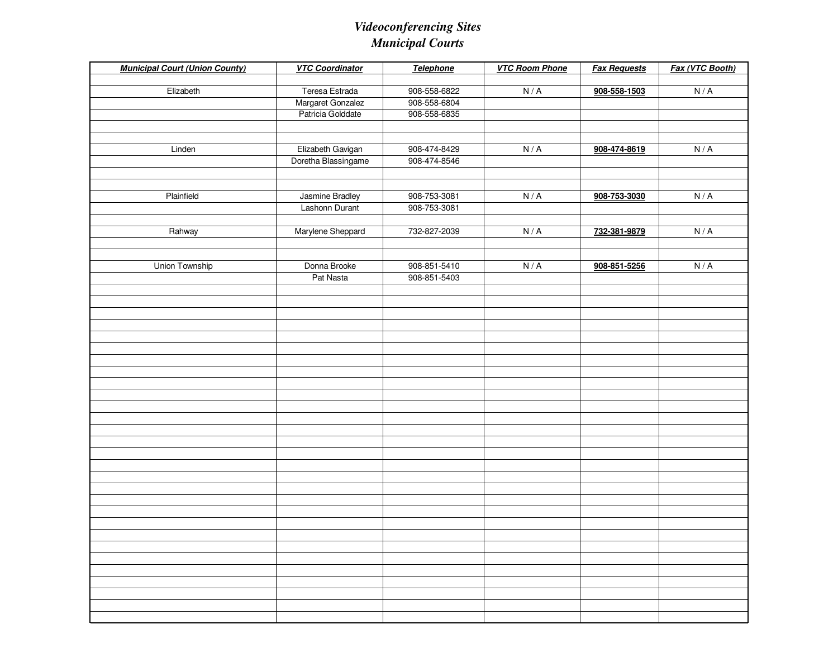| <b>Municipal Court (Union County)</b> | <b>VTC Coordinator</b>                   | Telephone                    | <b>VTC Room Phone</b> | <b>Fax Requests</b> | Fax (VTC Booth) |
|---------------------------------------|------------------------------------------|------------------------------|-----------------------|---------------------|-----------------|
| Elizabeth                             | Teresa Estrada                           | 908-558-6822                 | N/A                   | 908-558-1503        | N/A             |
|                                       | Margaret Gonzalez                        | 908-558-6804                 |                       |                     |                 |
|                                       | Patricia Golddate                        | 908-558-6835                 |                       |                     |                 |
|                                       |                                          |                              |                       |                     |                 |
|                                       |                                          |                              |                       |                     |                 |
| Linden                                | Elizabeth Gavigan<br>Doretha Blassingame | 908-474-8429<br>908-474-8546 | N/A                   | 908-474-8619        | N/A             |
|                                       |                                          |                              |                       |                     |                 |
|                                       |                                          |                              |                       |                     |                 |
| Plainfield                            | Jasmine Bradley                          | 908-753-3081                 | N/A                   | 908-753-3030        | N/A             |
|                                       | Lashonn Durant                           | 908-753-3081                 |                       |                     |                 |
|                                       |                                          |                              |                       |                     |                 |
| Rahway                                | Marylene Sheppard                        | 732-827-2039                 | N/A                   | 732-381-9879        | N/A             |
|                                       |                                          |                              |                       |                     |                 |
|                                       |                                          |                              |                       |                     |                 |
| Union Township                        | Donna Brooke                             | 908-851-5410                 | N/A                   | 908-851-5256        | N/A             |
|                                       | Pat Nasta                                | 908-851-5403                 |                       |                     |                 |
|                                       |                                          |                              |                       |                     |                 |
|                                       |                                          |                              |                       |                     |                 |
|                                       |                                          |                              |                       |                     |                 |
|                                       |                                          |                              |                       |                     |                 |
|                                       |                                          |                              |                       |                     |                 |
|                                       |                                          |                              |                       |                     |                 |
|                                       |                                          |                              |                       |                     |                 |
|                                       |                                          |                              |                       |                     |                 |
|                                       |                                          |                              |                       |                     |                 |
|                                       |                                          |                              |                       |                     |                 |
|                                       |                                          |                              |                       |                     |                 |
|                                       |                                          |                              |                       |                     |                 |
|                                       |                                          |                              |                       |                     |                 |
|                                       |                                          |                              |                       |                     |                 |
|                                       |                                          |                              |                       |                     |                 |
|                                       |                                          |                              |                       |                     |                 |
|                                       |                                          |                              |                       |                     |                 |
|                                       |                                          |                              |                       |                     |                 |
|                                       |                                          |                              |                       |                     |                 |
|                                       |                                          |                              |                       |                     |                 |
|                                       |                                          |                              |                       |                     |                 |
|                                       |                                          |                              |                       |                     |                 |
|                                       |                                          |                              |                       |                     |                 |
|                                       |                                          |                              |                       |                     |                 |
|                                       |                                          |                              |                       |                     |                 |
|                                       |                                          |                              |                       |                     |                 |
|                                       |                                          |                              |                       |                     |                 |